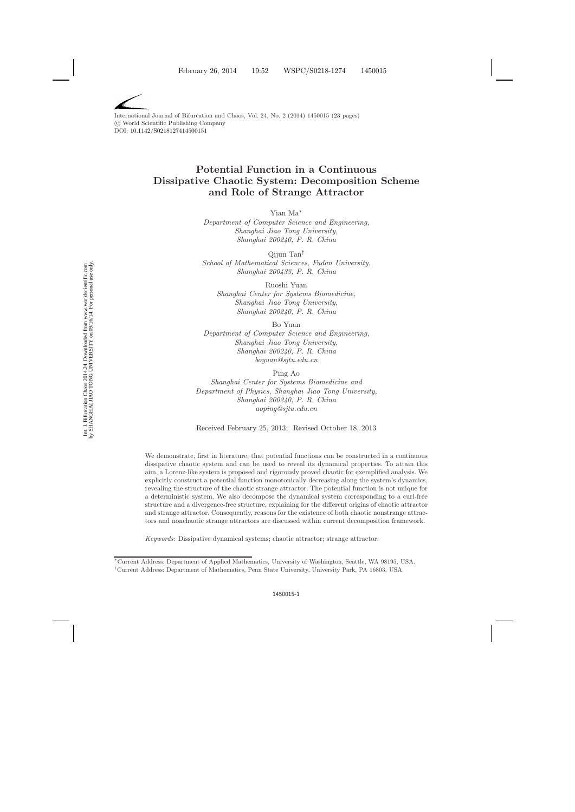# **Potential Function in a Continuous Dissipative Chaotic System: Decomposition Scheme and Role of Strange Attractor**

Yian Ma∗

*Department of Computer Science and Engineering, Shanghai Jiao Tong University, Shanghai 200240, P. R. China*

Qijun Tan† *School of Mathematical Sciences, Fudan University, Shanghai 200433, P. R. China*

Ruoshi Yuan *Shanghai Center for Systems Biomedicine, Shanghai Jiao Tong University, Shanghai 200240, P. R. China*

Bo Yuan

*Department of Computer Science and Engineering, Shanghai Jiao Tong University, Shanghai 200240, P. R. China boyuan@sjtu.edu.cn*

Ping Ao

*Shanghai Center for Systems Biomedicine and Department of Physics, Shanghai Jiao Tong University, Shanghai 200240, P. R. China aoping@sjtu.edu.cn*

Received February 25, 2013; Revised October 18, 2013

We demonstrate, first in literature, that potential functions can be constructed in a continuous dissipative chaotic system and can be used to reveal its dynamical properties. To attain this aim, a Lorenz-like system is proposed and rigorously proved chaotic for exemplified analysis. We explicitly construct a potential function monotonically decreasing along the system's dynamics, revealing the structure of the chaotic strange attractor. The potential function is not unique for a deterministic system. We also decompose the dynamical system corresponding to a curl-free structure and a divergence-free structure, explaining for the different origins of chaotic attractor and strange attractor. Consequently, reasons for the existence of both chaotic nonstrange attractors and nonchaotic strange attractors are discussed within current decomposition framework.

*Keywords*: Dissipative dynamical systems; chaotic attractor; strange attractor.

<sup>∗</sup>Current Address: Department of Applied Mathematics, University of Washington, Seattle, WA 98195, USA. †Current Address: Department of Mathematics, Penn State University, University Park, PA 16803, USA.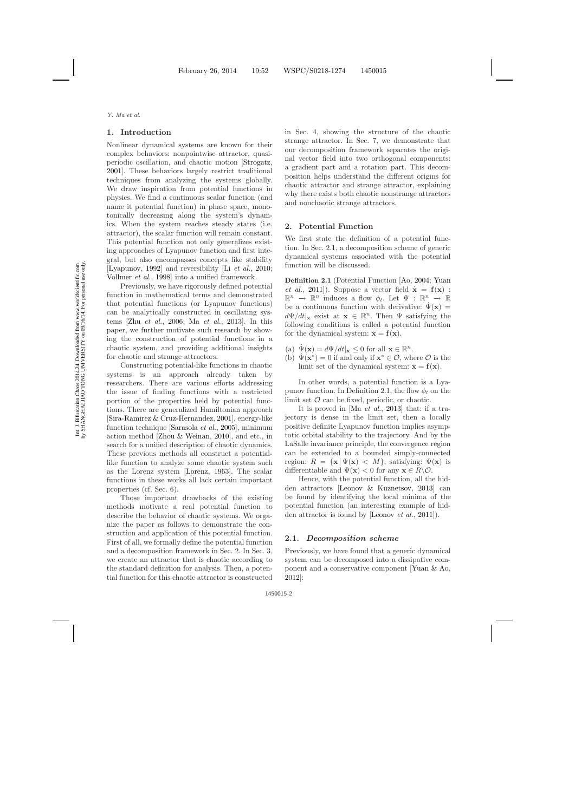### **1. Introduction**

Nonlinear dynamical systems are known for their complex behaviors: nonpointwise attractor, quasiperiodic oscillation, and chaotic motion [\[Strogatz](#page-22-0), [2001\]](#page-22-0). These behaviors largely restrict traditional techniques from analyzing the systems globally. We draw inspiration from potential functions in physics. We find a continuous scalar function (and name it potential function) in phase space, monotonically decreasing along the system's dynamics. When the system reaches steady states (i.e. attractor), the scalar function will remain constant. This potential function not only generalizes existing approaches of Lyapunov function and first integral, but also encompasses concepts like stability [\[Lyapunov](#page-21-1), [1992](#page-21-1)] and reversibility [Li *[et al.](#page-21-2)*, [2010](#page-21-2); [Vollmer](#page-22-1) *et al.*, [1998\]](#page-22-1) into a unified framework.

Previously, we have rigorously defined potential function in mathematical terms and demonstrated that potential functions (or Lyapunov functions) can be analytically constructed in oscillating systems [Zhu *[et al.](#page-22-2)*, [2006;](#page-22-2) Ma *[et al.](#page-21-3)*, [2013](#page-21-3)]. In this paper, we further motivate such research by showing the construction of potential functions in a chaotic system, and providing additional insights for chaotic and strange attractors.

Constructing potential-like functions in chaotic systems is an approach already taken by researchers. There are various efforts addressing the issue of finding functions with a restricted portion of the properties held by potential functions. There are generalized Hamiltonian approach [\[Sira-Ramirez & Cruz-Hernandez](#page-22-3), [2001](#page-22-3)], energy-like function technique [\[Sarasola](#page-22-4) *et al.*, [2005\]](#page-22-4), minimum action method [\[Zhou & Weinan](#page-22-5), [2010\]](#page-22-5), and etc., in search for a unified description of chaotic dynamics. These previous methods all construct a potentiallike function to analyze some chaotic system such as the Lorenz system [\[Lorenz,](#page-21-4) [1963](#page-21-4)]. The scalar functions in these works all lack certain important properties (cf. Sec. 6).

Those important drawbacks of the existing methods motivate a real potential function to describe the behavior of chaotic systems. We organize the paper as follows to demonstrate the construction and application of this potential function. First of all, we formally define the potential function and a decomposition framework in Sec. 2. In Sec. 3, we create an attractor that is chaotic according to the standard definition for analysis. Then, a potential function for this chaotic attractor is constructed

in Sec. 4, showing the structure of the chaotic strange attractor. In Sec. 7, we demonstrate that our decomposition framework separates the original vector field into two orthogonal components: a gradient part and a rotation part. This decomposition helps understand the different origins for chaotic attractor and strange attractor, explaining why there exists both chaotic nonstrange attractors and nonchaotic strange attractors.

#### **2. Potential Function**

We first state the definition of a potential function. In Sec. 2.1, a decomposition scheme of generic dynamical systems associated with the potential function will be discussed.

<span id="page-1-0"></span>**Definition 2.1** [\(Potential Function](#page-22-6) [\[Ao](#page-21-5)[,](#page-22-6) [2004;](#page-21-5) Yuan *et al.*, [2011](#page-22-6)]). Suppose a vector field  $\dot{\mathbf{x}} = \mathbf{f}(\mathbf{x})$ :  $\mathbb{R}^n \to \mathbb{R}^n$  induces a flow  $\phi_t$ . Let  $\Psi : \mathbb{R}^n \to \mathbb{R}$ be a continuous function with derivative:  $\Psi(\mathbf{x}) =$  $d\Psi/dt|_{\mathbf{x}}$  exist at  $\mathbf{x} \in \mathbb{R}^n$ . Then  $\Psi$  satisfying the following conditions is called a potential function for the dynamical system:  $\dot{\mathbf{x}} = \mathbf{f}(\mathbf{x})$ .

- (a)  $\Psi(\mathbf{x}) = d\Psi/dt|_{\mathbf{x}} \leq 0$  for all  $\mathbf{x} \in \mathbb{R}^n$ .
- (b)  $\Psi(\mathbf{x}^*) = 0$  if and only if  $\mathbf{x}^* \in \mathcal{O}$ , where  $\mathcal O$  is the limit set of the dynamical system:  $\dot{\mathbf{x}} = \mathbf{f}(\mathbf{x})$ .

In other words, a potential function is a Lyapunov function. In Definition 2.1, the flow  $\phi_t$  on the limit set  $\mathcal O$  can be fixed, periodic, or chaotic.

It is proved in [Ma *[et al.](#page-21-3)*, [2013](#page-21-3)] that: if a trajectory is dense in the limit set, then a locally positive definite Lyapunov function implies asymptotic orbital stability to the trajectory. And by the LaSalle invariance principle, the convergence region can be extended to a bounded simply-connected region:  $R = {\mathbf{x} | \Psi(\mathbf{x}) \langle M \rangle}$ , satisfying:  $\Psi(\mathbf{x})$  is differentiable and  $\Psi(\mathbf{x}) < 0$  for any  $\mathbf{x} \in R \backslash \mathcal{O}$ .

Hence, with the potential function, all the hidden attractors [\[Leonov & Kuznetsov,](#page-21-6) [2013](#page-21-6)] can be found by identifying the local minima of the potential function (an interesting example of hidden attractor is found by [\[Leonov](#page-21-7) *et al.*, [2011](#page-21-7)]).

### **2.1.** *Decomposition scheme*

Previously, we have found that a generic dynamical system can be decomposed into a dissipative component and a conservative component [\[Yuan & Ao](#page-22-7), [2012\]](#page-22-7):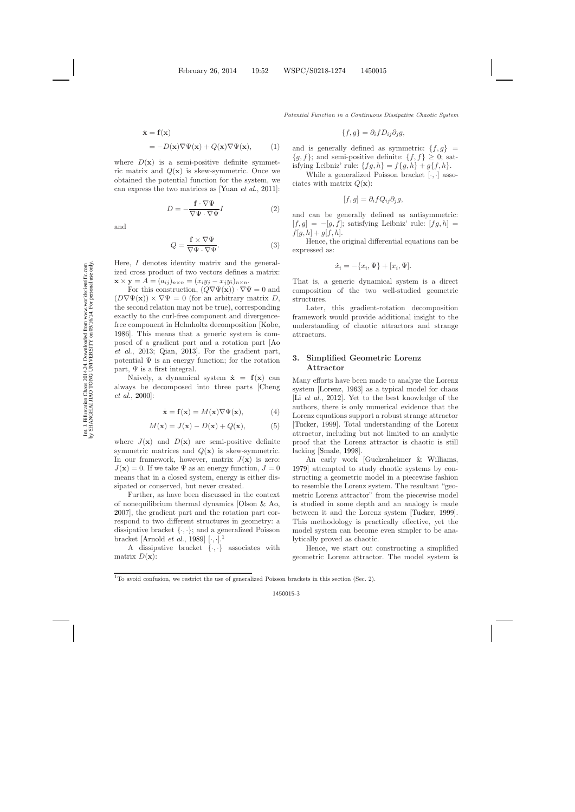$$
\dot{\mathbf{x}} = \mathbf{f}(\mathbf{x})
$$
  
= -D(\mathbf{x})\nabla\Psi(\mathbf{x}) + Q(\mathbf{x})\nabla\Psi(\mathbf{x}), (1)

<span id="page-2-3"></span><span id="page-2-2"></span>where  $D(\mathbf{x})$  is a semi-positive definite symmetric matrix and  $Q(x)$  is skew-symmetric. Once we obtained the potential function for the system, we can express the two matrices as [\[Yuan](#page-22-8) *et al.*, [2011](#page-22-8)]:

$$
D = -\frac{\mathbf{f} \cdot \nabla \Psi}{\nabla \Psi \cdot \nabla \Psi} I \tag{2}
$$

and

$$
Q = \frac{\mathbf{f} \times \nabla \Psi}{\nabla \Psi \cdot \nabla \Psi}.
$$
 (3)

Here, I denotes identity matrix and the generalized cross product of two vectors defines a matrix:  $\mathbf{x} \times \mathbf{y} = A = (a_{ij})_{n \times n} = (x_i y_j - x_j y_i)_{n \times n}.$ 

For this construction,  $(Q\nabla\Psi(\mathbf{x}))\cdot\nabla\Psi=0$  and  $(D\nabla \Psi(\mathbf{x})) \times \nabla \Psi = 0$  (for an arbitrary matrix D, the second relation may not be true), corresponding exactly to the curl-free component and divergencefree component in Helmholtz decomposition [\[Kobe](#page-21-8), [1986](#page-21-8)]. This means that a generic system is compose[d of a gradient part and a rotation part \[](#page-21-9)Ao *et al.*, [2013](#page-21-9); [Qian](#page-22-9), [2013](#page-22-9)]. For the gradient part, potential  $\Psi$  is an energy function; for the rotation part,  $\Psi$  is a first integral.

Naively, a dynamical system  $\dot{\mathbf{x}} = \mathbf{f}(\mathbf{x})$  can alwa[ys be decomposed into three parts \[](#page-21-10)Cheng *et al.*, [2000](#page-21-10)]:

<span id="page-2-1"></span>
$$
\dot{\mathbf{x}} = \mathbf{f}(\mathbf{x}) = M(\mathbf{x}) \nabla \Psi(\mathbf{x}), \tag{4}
$$

$$
M(\mathbf{x}) = J(\mathbf{x}) - D(\mathbf{x}) + Q(\mathbf{x}), \tag{5}
$$

where  $J(\mathbf{x})$  and  $D(\mathbf{x})$  are semi-positive definite symmetric matrices and  $Q(x)$  is skew-symmetric. In our framework, however, matrix  $J(\mathbf{x})$  is zero:  $J(\mathbf{x}) = 0$ . If we take  $\Psi$  as an energy function,  $J = 0$ means that in a closed system, energy is either dissipated or conserved, but never created.

Further, as have been discussed in the context of nonequilibrium thermal dynamics [\[Olson & Ao](#page-21-11), [2007](#page-21-11)], the gradient part and the rotation part correspond to two different structures in geometry: a dissipative bracket  $\{\cdot,\cdot\}$ ; and a generalized Poisson bracket [\[Arnold](#page-21-12) *et al.*, [1989](#page-21-12)] [·, ·].[1](#page-2-0)

A dissipative bracket  $\{\cdot,\cdot\}$  associates with matrix  $D(\mathbf{x})$ :

$$
\{f,g\}=\partial_i f D_{ij}\partial_j g,
$$

and is generally defined as symmetric:  $\{f, g\}$  =  ${g, f}$ ; and semi-positive definite:  ${f, f} \ge 0$ ; satisfying Leibniz' rule:  $\{fg, h\} = f\{g, h\} + g\{f, h\}.$ 

While a generalized Poisson bracket  $[\cdot, \cdot]$  associates with matrix  $Q(\mathbf{x})$ :

$$
[f,g] = \partial_i f Q_{ij} \partial_j g,
$$

and can be generally defined as antisymmetric:  $[f,g] = -[g,f]$ ; satisfying Leibniz' rule:  $[f,g,h] =$  $f[g, h] + g[f, h].$ 

Hence, the original differential equations can be expressed as:

$$
\dot{x}_i = -\{x_i, \Psi\} + [x_i, \Psi].
$$

That is, a generic dynamical system is a direct composition of the two well-studied geometric structures.

Later, this gradient-rotation decomposition framework would provide additional insight to the understanding of chaotic attractors and strange attractors.

### **3. Simplified Geometric Lorenz Attractor**

Many efforts have been made to analyze the Lorenz system [\[Lorenz](#page-21-13), [1963](#page-21-13)] as a typical model for chaos [Li *[et al.](#page-21-14)*, [2012](#page-21-14)]. Yet to the best knowledge of the authors, there is only numerical evidence that the Lorenz equations support a robust strange attractor [\[Tucker](#page-22-10), [1999](#page-22-10)]. Total understanding of the Lorenz attractor, including but not limited to an analytic proof that the Lorenz attractor is chaotic is still lacking [\[Smale](#page-22-11), [1998](#page-22-11)].

An early work [\[Guckenheimer & Williams](#page-21-15), [1979](#page-21-15)] attempted to study chaotic systems by constructing a geometric model in a piecewise fashion to resemble the Lorenz system. The resultant "geometric Lorenz attractor" from the piecewise model is studied in some depth and an analogy is made between it and the Lorenz system [\[Tucker](#page-22-10), [1999](#page-22-10)]. This methodology is practically effective, yet the model system can become even simpler to be analytically proved as chaotic.

Hence, we start out constructing a simplified geometric Lorenz attractor. The model system is

<span id="page-2-0"></span><sup>&</sup>lt;sup>1</sup>To avoid confusion, we restrict the use of generalized Poisson brackets in this section (Sec. 2).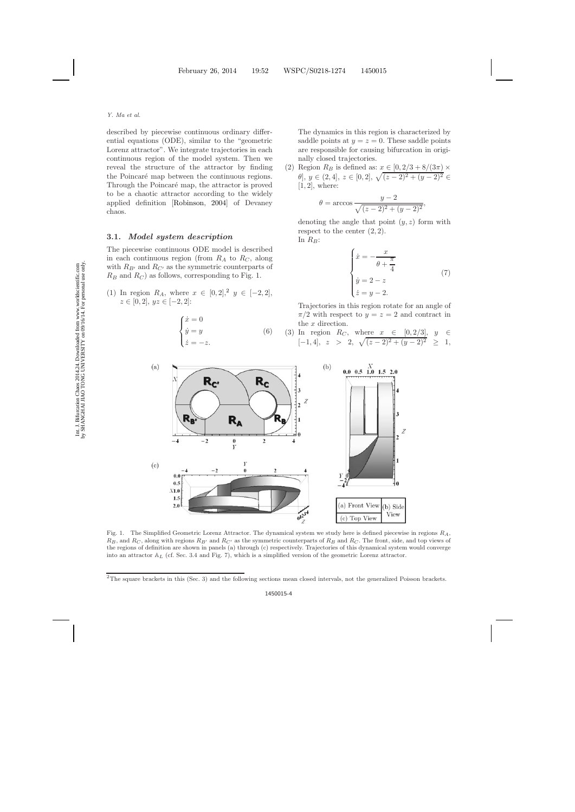described by piecewise continuous ordinary differential equations (ODE), similar to the "geometric Lorenz attractor". We integrate trajectories in each continuous region of the model system. Then we reveal the structure of the attractor by finding the Poincaré map between the continuous regions. Through the Poincaré map, the attractor is proved to be a chaotic attractor according to the widely applied definition [\[Robinson,](#page-22-12) [2004](#page-22-12)] of Devaney chaos.

### **3.1.** *Model system description*

The piecewise continuous ODE model is described in each continuous region (from  $R_A$  to  $R_C$ , along with  $R_{B'}$  and  $R_{C'}$  as the symmetric counterparts of  $R_B$  and  $R_C$ ) as follows, corresponding to Fig. 1.

(1) In region  $R_A$ , where  $x \in [0,2],^2$  $x \in [0,2],^2$  $x \in [0,2],^2$   $y \in [-2,2],$  $z \in [0, 2], yz \in [-2, 2]:$ 

$$
\begin{cases}\n\dot{x} = 0 \\
\dot{y} = y \\
\dot{z} = -z.\n\end{cases}
$$
\n(6)

The dynamics in this region is characterized by saddle points at  $y = z = 0$ . These saddle points are responsible for causing bifurcation in originally closed trajectories.

(2) Region  $R_B$  is defined as:  $x \in [0, 2/3 + 8/(3\pi) \times$  $\theta$ ,  $y \in (2, 4]$ ,  $z \in [0, 2]$ ,  $\sqrt{(z-2)^2 + (y-2)^2} \in$ [1, 2], where:

$$
\theta = \arccos \frac{y - 2}{\sqrt{(z - 2)^2 + (y - 2)^2}},
$$

denoting the angle that point  $(y, z)$  form with respect to the center  $(2, 2)$ . In  $R_B$ :

$$
\begin{cases}\n\dot{x} = -\frac{x}{\theta + \frac{\pi}{4}} \\
\dot{y} = 2 - z \\
\dot{z} = y - 2.\n\end{cases} (7)
$$

Trajectories in this region rotate for an angle of  $\pi/2$  with respect to  $y = z = 2$  and contract in the x direction.

(3) In region 
$$
R_C
$$
, where  $x \in [0, 2/3]$ ,  $y \in [-1, 4]$ ,  $z > 2$ ,  $\sqrt{(z-2)^2 + (y-2)^2} \ge 1$ ,



Fig. 1. The Simplified Geometric Lorenz Attractor. The dynamical system we study here is defined piecewise in regions *RA*,  $R_B$ , and  $R_C$ , along with regions  $R_{B'}$  and  $R_{C'}$  as the symmetric counterparts of  $R_B$  and  $R_C$ . The front, side, and top views of the regions of definition are shown in panels (a) through (c) respectively. Trajectories of this dynamical system would converge into an attractor A*<sup>L</sup>* (cf. Sec. 3.4 and Fig. 7), which is a simplified version of the geometric Lorenz attractor.

<span id="page-3-0"></span> $2$ The square brackets in this (Sec. 3) and the following sections mean closed intervals, not the generalized Poisson brackets.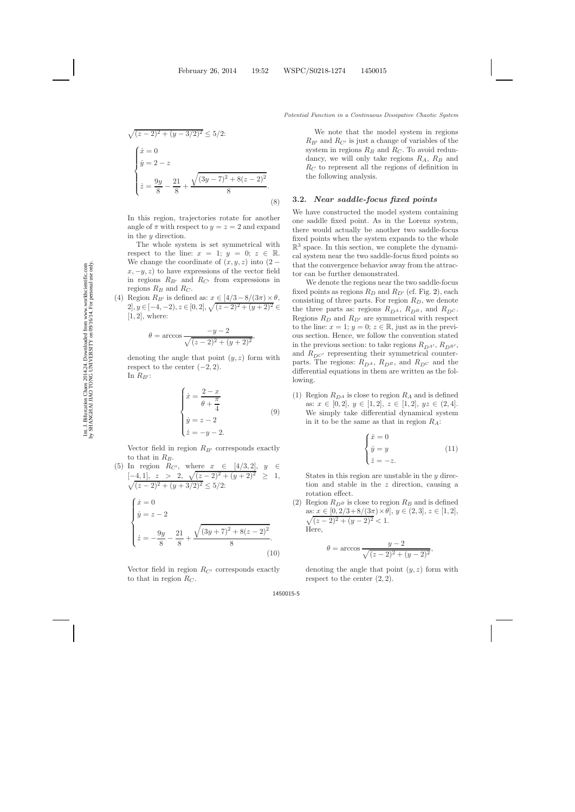$$
\sqrt{(z-2)^2 + (y-3/2)^2} \le 5/2:
$$
\n
$$
\begin{cases}\n\dot{x} = 0 \\
\dot{y} = 2 - z \\
\dot{z} = \frac{9y}{8} - \frac{21}{8} + \frac{\sqrt{(3y-7)^2 + 8(z-2)^2}}{8}.\n\end{cases}
$$
\nIn this region, trajectories rotate for and

another angle of  $\pi$  with respect to  $y = z = 2$  and expand in the y direction.

(8)

The whole system is set symmetrical with respect to the line:  $x = 1$ ;  $y = 0$ ;  $z \in \mathbb{R}$ . We change the coordinate of  $(x, y, z)$  into  $(2$  $x, -y, z$  to have expressions of the vector field in regions  $R_{B'}$  and  $R_{C'}$  from expressions in regions  $R_B$  and  $R_C$ .

(4) Region  $R_{B'}$  is defined as:  $x \in [4/3-8/(3\pi) \times \theta,$  $2, y \in [-4, -2), z \in [0, 2], \sqrt{(z-2)^2 + (y+2)^2} \in$  $[1, 2]$ , where:

$$
\theta = \arccos \frac{-y - 2}{\sqrt{(z - 2)^2 + (y + 2)^2}},
$$

denoting the angle that point  $(y, z)$  form with respect to the center  $(-2, 2)$ . In  $R_{B'}$ :

$$
\begin{cases}\n\dot{x} = \frac{2-x}{\theta + \frac{\pi}{4}} \\
\dot{y} = z - 2 \\
\dot{z} = -y - 2.\n\end{cases} (9)
$$

Vector field in region  $R_{B'}$  corresponds exactly to that in  $R_B$ .

(5) In region  $R_{C'}$ , where  $x \in [4/3, 2]$ ,  $y \in$  $[-4, 1], z > 2, \sqrt{(z-2)^2 + (y+2)}$  $\sqrt{}$  $2 \geq 1$ ,  $(z-2)^2 + (y+3/2)^2 \leq 5/2$ 

$$
\begin{cases} \n\dot{x} = 0\\ \n\dot{y} = z - 2\\ \n\dot{z} = -\frac{9y}{8} - \frac{21}{8} + \frac{\sqrt{(3y + 7)^2 + 8(z - 2)^2}}{8}. \n\end{cases}
$$
\n(10)

Vector field in region  $R_{C}$  corresponds exactly to that in region  $R_C$ .

We note that the model system in regions  $R_{B'}$  and  $R_{C'}$  is just a change of variables of the system in regions  $R_B$  and  $R_C$ . To avoid redundancy, we will only take regions  $R_A$ ,  $R_B$  and  $R_C$  to represent all the regions of definition in the following analysis.

### **3.2.** *Near saddle-focus fixed points*

We have constructed the model system containing one saddle fixed point. As in the Lorenz system, there would actually be another two saddle-focus fixed points when the system expands to the whole  $\mathbb{R}^3$  space. In this section, we complete the dynamical system near the two saddle-focus fixed points so that the convergence behavior away from the attractor can be further demonstrated.

We denote the regions near the two saddle-focus fixed points as regions  $R_D$  and  $R_{D'}$  (cf. Fig. [2\)](#page-5-0), each consisting of three parts. For region  $R_D$ , we denote the three parts as: regions  $R_{D^A}$ ,  $R_{D^B}$ , and  $R_{D^C}$ . Regions  $R_D$  and  $R_{D'}$  are symmetrical with respect to the line:  $x = 1$ ;  $y = 0$ ;  $z \in \mathbb{R}$ , just as in the previous section. Hence, we follow the convention stated in the previous section: to take regions  $R_{DA}$ ,  $R_{DB}$ , and  $R_{DC'}$  representing their symmetrical counterparts. The regions:  $R_{D^A}$ ,  $R_{D^B}$ , and  $R_{D^C}$  and the differential equations in them are written as the following.

(1) Region  $R_{D^A}$  is close to region  $R_A$  and is defined as:  $x \in [0, 2], y \in [1, 2], z \in [1, 2], yz \in (2, 4].$ We simply take differential dynamical system in it to be the same as that in region  $R_A$ :

$$
\begin{cases}\n\dot{x} = 0\\ \n\dot{y} = y\\ \n\dot{z} = -z.\n\end{cases}
$$
\n(11)

States in this region are unstable in the y direction and stable in the z direction, causing a rotation effect.

(2) Region  $R_{D^B}$  is close to region  $R_B$  and is defined as:  $\sqrt{}$  $x \in [0, 2/3 + 8/(3\pi) \times \theta], y \in (2, 3], z \in [1, 2],$  $(z-2)^2 + (y-2)^2 < 1.$ Here,

$$
\theta = \arccos \frac{y - 2}{\sqrt{(z - 2)^2 + (y - 2)^2}},
$$

denoting the angle that point  $(y, z)$  form with respect to the center  $(2, 2)$ .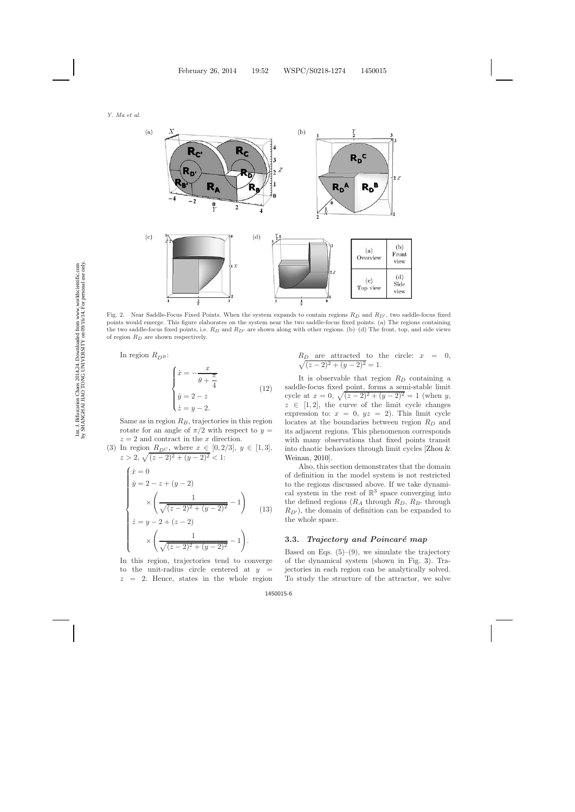

<span id="page-5-0"></span>Fig. 2. Near Saddle-Focus Fixed Points. When the system expands to contain regions  $R_D$  and  $R_{D'}$ , two saddle-focus fixed points would emerge. This figure elaborates on the system near the two saddle-focus fixed points. (a) The regions containing the two saddle-focus fixed points, i.e. *R<sup>D</sup>* and *RD* are shown along with other regions. (b)–(d) The front, top, and side views of region *R<sup>D</sup>* are shown respectively.

<span id="page-5-2"></span><span id="page-5-1"></span>In region  $R_{DB}$ :

$$
\begin{cases}\n\dot{x} = -\frac{x}{\theta + \frac{\pi}{4}} \\
\dot{y} = 2 - z \\
\dot{z} = y - 2.\n\end{cases}
$$
\n(12)

Same as in region  $R_B$ , trajectories in this region rotate for an angle of  $\pi/2$  with respect to  $y =$  $z = 2$  and contract in the x direction.

(3) In region  $R_{D^C}$ , where  $x \in [0, 2/3], y \in [1, 3],$  $z > 2, \sqrt{(z-2)^2 + (y-2)^2} < 1$ :

$$
\begin{cases}\n\dot{x} = 0 \\
\dot{y} = 2 - z + (y - 2) \\
\times \left( \frac{1}{\sqrt{(z - 2)^2 + (y - 2)^2}} - 1 \right) \\
\dot{z} = y - 2 + (z - 2) \\
\times \left( \frac{1}{\sqrt{(z - 2)^2 + (y - 2)^2}} - 1 \right).\n\end{cases}
$$
\n(13)

In this region, trajectories tend to converge to the unit-radius circle centered at  $y =$  $z = 2$ . Hence, states in the whole region

$$
R_D
$$
 are attracted to the circle:  $x = 0$ ,  
 $\sqrt{(z-2)^2 + (y-2)^2} = 1$ .

It is observable that region  $R_D$  containing a saddle-focus fixed point, forms a semi-stable limit cycle at  $x = 0$ ,  $\sqrt{(z-2)^2 + (y-2)^2} = 1$  (when y,  $z \in [1, 2]$ , the curve of the limit cycle changes expression to:  $x = 0$ ,  $yz = 2$ ). This limit cycle locates at the boundaries between region  $R_D$  and its adjacent regions. This phenomenon corresponds with many observations that fixed points transit into ch[aotic behaviors through limit cycles \[](#page-22-5)Zhou & Weinan, [2010](#page-22-5)].

Also, this section demonstrates that the domain of definition in the model system is not restricted to the regions discussed above. If we take dynamical system in the rest of  $\mathbb{R}^3$  space converging into the defined regions  $(R_A \text{ through } R_D, R_{B'} \text{ through})$  $R_{D}$ , the domain of definition can be expanded to the whole space.

### **3.3.** *Trajectory and Poincaré map*

Based on Eqs.  $(5)-(9)$ , we simulate the trajectory of the dynamical system (shown in Fig. [3\)](#page-6-0). Trajectories in each region can be analytically solved. To study the structure of the attractor, we solve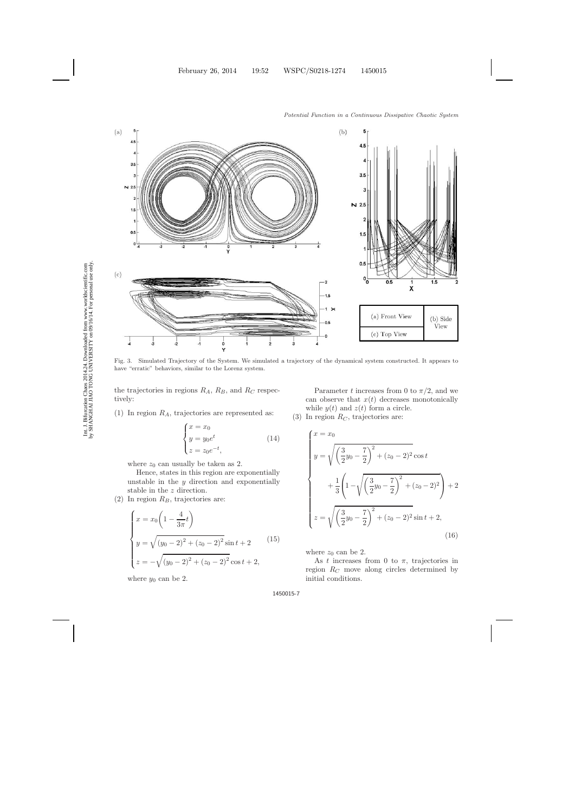

<span id="page-6-0"></span>Fig. 3. Simulated Trajectory of the System. We simulated a trajectory of the dynamical system constructed. It appears to have "erratic" behaviors, similar to the Lorenz system.

the trajectories in regions  $R_A$ ,  $R_B$ , and  $R_C$  respectively:

(1) In region  $R_A$ , trajectories are represented as:

$$
\begin{cases}\n x = x_0 \\
 y = y_0 e^t \\
 z = z_0 e^{-t},\n\end{cases}
$$
\n(14)

where  $z_0$  can usually be taken as 2.

Hence, states in this region are exponentially unstable in the  $y$  direction and exponentially stable in the z direction.

(2) In region  $R_B$ , trajectories are:

$$
\begin{cases}\nx = x_0 \left( 1 - \frac{4}{3\pi} t \right) \\
y = \sqrt{(y_0 - 2)^2 + (z_0 - 2)^2} \sin t + 2 \\
z = -\sqrt{(y_0 - 2)^2 + (z_0 - 2)^2} \cos t + 2,\n\end{cases}
$$
\n(15)

where  $y_0$  can be 2.

Parameter t increases from 0 to  $\pi/2$ , and we can observe that  $x(t)$  decreases monotonically while  $y(t)$  and  $z(t)$  form a circle.

(3) In region  $R_C$ , trajectories are:

$$
\begin{cases}\nx = x_0 \\
y = \sqrt{\left(\frac{3}{2}y_0 - \frac{7}{2}\right)^2 + (z_0 - 2)^2} \cos t \\
+ \frac{1}{3} \left(1 - \sqrt{\left(\frac{3}{2}y_0 - \frac{7}{2}\right)^2 + (z_0 - 2)^2}\right) + 2 \\
z = \sqrt{\left(\frac{3}{2}y_0 - \frac{7}{2}\right)^2 + (z_0 - 2)^2} \sin t + 2,\n\end{cases}
$$
\n(16)

where  $z_0$  can be 2.

As t increases from 0 to  $\pi$ , trajectories in region  $R_C$  move along circles determined by initial conditions.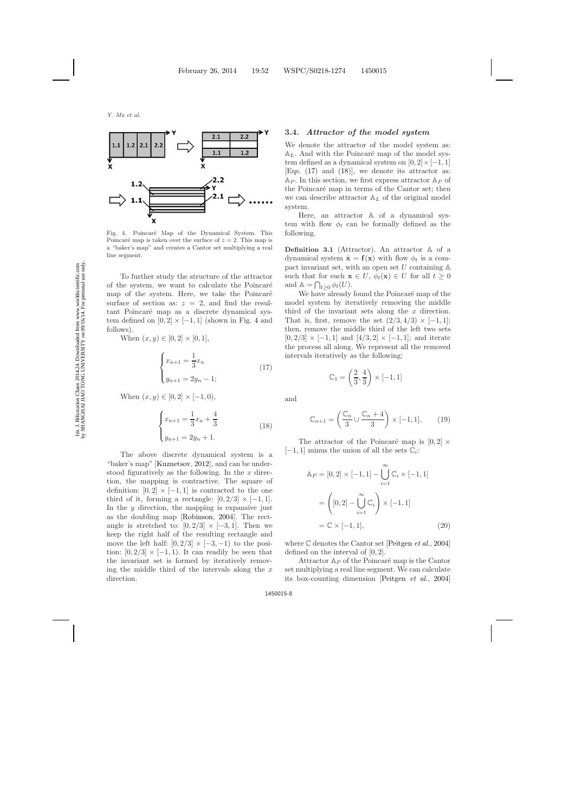

<span id="page-7-0"></span>Fig. 4. Poincaré Map of the Dynamical System. This Poincaré map is taken over the surface of  $z = 2$ . This map is a "baker's map" and creates a Cantor set multiplying a real line segment.

To further study the structure of the attractor of the system, we want to calculate the Poincaré map of the system. Here, we take the Poincaré surface of section as:  $z = 2$ , and find the resultant Poincaré map as a discrete dynamical system defined on  $[0, 2] \times [-1, 1]$  (shown in Fig. [4](#page-7-0) and follows).

<span id="page-7-1"></span>When  $(x, y) \in [0, 2] \times [0, 1],$ 

$$
\begin{cases} x_{n+1} = \frac{1}{3}x_n \\ y_{n+1} = 2y_n - 1; \end{cases}
$$
 (17)

When  $(x, y) \in [0, 2] \times [-1, 0),$ 

$$
\begin{cases} x_{n+1} = \frac{1}{3}x_n + \frac{4}{3} \\ y_{n+1} = 2y_n + 1. \end{cases}
$$
 (18)

<span id="page-7-2"></span>The above discrete dynamical system is a "baker's map" [\[Kuznetsov](#page-21-16), [2012\]](#page-21-16), and can be understood figuratively as the following. In the  $x$  direction, the mapping is contractive. The square of definition:  $[0, 2] \times [-1, 1]$  is contracted to the one third of it, forming a rectangle:  $[0, 2/3] \times [-1, 1]$ . In the  $y$  direction, the mapping is expansive just as the doubling map [\[Robinson,](#page-22-12) [2004\]](#page-22-12). The rectangle is stretched to:  $[0, 2/3] \times [-3, 1]$ . Then we keep the right half of the resulting rectangle and move the left half:  $[0, 2/3] \times [-3, -1)$  to the position:  $[0, 2/3] \times [-1, 1)$ . It can readily be seen that the invariant set is formed by iteratively removing the middle third of the intervals along the  $x$ direction.

#### **3.4.** *Attractor of the model system*

We denote the attractor of the model system as:  $A_L$ . And with the Poincaré map of the model system defined as a dynamical system on  $[0, 2] \times [-1, 1]$ [Eqs. [\(17\)](#page-7-1) and [\(18\)](#page-7-2)], we denote its attractor as:  $Ap.$  In this section, we first express attractor  $Ap$  of the Poincaré map in terms of the Cantor set; then we can describe attractor  $A_L$  of the original model system.

Here, an attractor A of a dynamical system with flow  $\phi_t$  can be formally defined as the following.

**Definition 3.1** (Attractor). An attractor A of a dynamical system  $\dot{\mathbf{x}} = \mathbf{f}(\mathbf{x})$  with flow  $\phi_t$  is a compact invariant set, with an open set  $U$  containing  $\mathbb A$ such that for each  $\mathbf{x} \in U$ ,  $\phi_t(\mathbf{x}) \in U$  for all  $t \geq 0$ and  $\mathbb{A} = \bigcap_{t \geq 0} \phi_t(U).$ 

We have already found the Poincaré map of the model system by iteratively removing the middle third of the invariant sets along the  $x$  direction. That is, first, remove the set  $(2/3, 4/3) \times [-1, 1]$ ; then, remove the middle third of the left two sets  $[0, 2/3] \times [-1, 1]$  and  $[4/3, 2] \times [-1, 1]$ ; and iterate the process all along. We represent all the removed intervals iteratively as the following:

$$
\mathbb{C}_1 = \left(\frac{2}{3}, \frac{4}{3}\right) \times [-1, 1]
$$

and

$$
\mathbb{C}_{n+1} = \left(\frac{\mathbb{C}_n}{3} \cup \frac{\mathbb{C}_n + 4}{3}\right) \times [-1, 1]. \tag{19}
$$

The attractor of the Poincaré map is  $[0, 2] \times$  $[-1, 1]$  minus the union of all the sets  $\mathbb{C}_i$ :

$$
\mathbb{A}_P = [0, 2] \times [-1, 1] - \bigcup_{i=1}^{\infty} \mathbb{C}_i \times [-1, 1]
$$

$$
= \left( [0, 2] - \bigcup_{i=1}^{\infty} \mathbb{C}_i \right) \times [-1, 1]
$$

$$
= \mathbb{C} \times [-1, 1], \tag{20}
$$

where C denotes the Cantor set [\[Peitgen](#page-21-17) *et al.*, [2004](#page-21-17)] defined on the interval of [0, 2].

Attractor  $A_P$  of the Poincaré map is the Cantor set multiplying a real line segment. We can calculate its box-counting dimension [\[Peitgen](#page-21-17) *et al.*, [2004](#page-21-17)]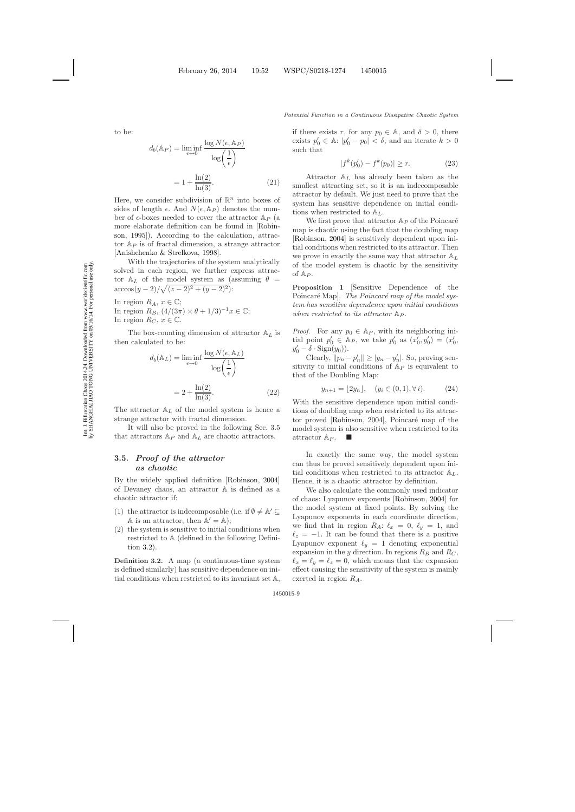to be:

$$
d_b(\mathbb{A}_P) = \liminf_{\epsilon \to 0} \frac{\log N(\epsilon, \mathbb{A}_P)}{\log \left(\frac{1}{\epsilon}\right)}
$$

$$
= 1 + \frac{\ln(2)}{\ln(3)}.
$$
(21)

Here, we consider subdivision of  $\mathbb{R}^n$  into boxes of sides of length  $\epsilon$ . And  $N(\epsilon, \mathbb{A}_P)$  denotes the number of  $\epsilon$ -boxes needed to cover the attractor  $\mathbb{A}_P$  (a mo[re elaborate definition can be found in \[](#page-22-13)Robinson, [1995](#page-22-13)]). According to the calculation, attractor  $Ap$  is of fractal dimension, a strange attractor [\[Anishchenko & Strelkova](#page-21-18), [1998](#page-21-18)].

With the trajectories of the system analytically solved in each region, we further express attractor  $A_L$  of the model system as (assuming  $\theta =$  $\arccos(y-2)/\sqrt{(z-2)^2+(y-2)^2}$ :

In region  $R_A$ ,  $x \in \mathbb{C}$ ; In region  $R_B$ ,  $\left(\frac{4}{3\pi}\right) \times \theta + \frac{1}{3}\right)^{-1}x \in \mathbb{C}$ ; In region  $R_C$ ,  $x \in \mathbb{C}$ .

The box-counting dimension of attractor  $A_L$  is then calculated to be:

$$
d_b(\mathbb{A}_L) = \liminf_{\epsilon \to 0} \frac{\log N(\epsilon, \mathbb{A}_L)}{\log \left(\frac{1}{\epsilon}\right)}
$$

$$
= 2 + \frac{\ln(2)}{\ln(3)}.
$$
(22)

The attractor  $A_L$  of the model system is hence a strange attractor with fractal dimension.

It will also be proved in the following Sec. 3.5 that attractors  $A_P$  and  $A_L$  are chaotic attractors.

# **3.5.** *Proof of the attractor as chaotic*

By the widely applied definition [\[Robinson](#page-22-14), [2004](#page-22-14)] of Devaney chaos, an attractor A is defined as a chaotic attractor if:

- (1) the attractor is indecomposable (i.e. if  $\emptyset \neq \mathbb{A}' \subseteq$ A is an attractor, then  $A' = A$ );
- (2) the system is sensitive to initial conditions when restricted to A (defined in the following Definition [3.2\)](#page-8-0).

<span id="page-8-0"></span>**Definition 3.2.** A map (a continuous-time system is defined similarly) has sensitive dependence on initial conditions when restricted to its invariant set A,

if there exists r, for any  $p_0 \in A$ , and  $\delta > 0$ , there exists  $p'_0 \in \mathbb{A}$ :  $|p'_0 - p_0| < \delta$ , and an iterate  $k > 0$ such that

$$
|f^k(p_0') - f^k(p_0)| \ge r.
$$
 (23)

Attractor  $A_L$  has already been taken as the smallest attracting set, so it is an indecomposable attractor by default. We just need to prove that the system has sensitive dependence on initial conditions when restricted to  $\mathbb{A}_L$ .

We first prove that attractor  $A_P$  of the Poincaré map is chaotic using the fact that the doubling map [\[Robinson](#page-22-14), [2004](#page-22-14)] is sensitively dependent upon initial conditions when restricted to its attractor. Then we prove in exactly the same way that attractor  $A_L$ of the model system is chaotic by the sensitivity of  $Ap$ .

**Proposition 1** [Sensitive Dependence of the Poincaré Map. The Poincaré map of the model sys*tem has sensitive dependence upon initial conditions when restricted to its attractor*  $\mathbb{A}_P$ *.* 

*Proof.* For any  $p_0 \in A_P$ , with its neighboring initial point  $p'_0 \in A_P$ , we take  $p'_0$  as  $(x'_0, y'_0) = (x'_0,$  $y'_0 - \delta \cdot \text{Sign}(y_0)$ ).

Clearly,  $||p_n - p'_n|| \ge |y_n - y'_n|$ . So, proving sensitivity to initial conditions of  $Ap$  is equivalent to that of the Doubling Map:

$$
y_{n+1} = \lfloor 2y_n \rfloor, \quad (y_i \in (0, 1), \forall i). \tag{24}
$$

With the sensitive dependence upon initial conditions of doubling map when restricted to its attrac-tor proved [\[Robinson](#page-22-14),  $2004$ ], Poincaré map of the model system is also sensitive when restricted to its attractor  $A_P$ .

In exactly the same way, the model system can thus be proved sensitively dependent upon initial conditions when restricted to its attractor  $A_L$ . Hence, it is a chaotic attractor by definition.

We also calculate the commonly used indicator of chaos: Lyapunov exponents [\[Robinson](#page-22-14), [2004](#page-22-14)] for the model system at fixed points. By solving the Lyapunov exponents in each coordinate direction, we find that in region  $R_A$ :  $\ell_x = 0$ ,  $\ell_y = 1$ , and  $\ell_z = -1$ . It can be found that there is a positive Lyapunov exponent  $\ell_y = 1$  denoting exponential expansion in the y direction. In regions  $R_B$  and  $R_C$ ,  $\ell_x = \ell_y = \ell_z = 0$ , which means that the expansion effect causing the sensitivity of the system is mainly exerted in region  $R_A$ .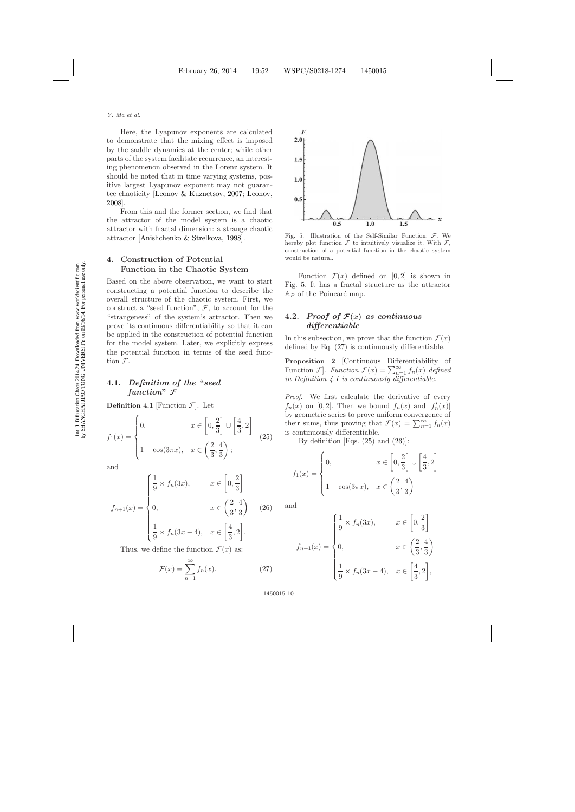Here, the Lyapunov exponents are calculated to demonstrate that the mixing effect is imposed by the saddle dynamics at the center; while other parts of the system facilitate recurrence, an interesting phenomenon observed in the Lorenz system. It should be noted that in time varying systems, positive largest Lyapunov exponent may not guarantee chaoticity [\[Leonov & Kuznetsov,](#page-21-19) [2007](#page-21-19); [Leonov](#page-21-20), [2008\]](#page-21-20).

From this and the former section, we find that the attractor of the model system is a chaotic attractor with fractal dimension: a strange chaotic attractor [\[Anishchenko & Strelkova,](#page-21-21) [1998](#page-21-21)].

# **4. Construction of Potential Function in the Chaotic System**

Based on the above observation, we want to start constructing a potential function to describe the overall structure of the chaotic system. First, we construct a "seed function",  $F$ , to account for the "strangeness" of the system's attractor. Then we prove its continuous differentiability so that it can be applied in the construction of potential function for the model system. Later, we explicitly express the potential function in terms of the seed function F.

# **4.1.** *Definition of the* **"***seed function***"** *F*

**Definition 4.1** [Function  $\mathcal{F}$ ]. Let

<span id="page-9-2"></span>
$$
f_1(x) = \begin{cases} 0, & x \in \left[0, \frac{2}{3}\right] \cup \left[\frac{4}{3}, 2\right] \\ 1 - \cos(3\pi x), & x \in \left(\frac{2}{3}, \frac{4}{3}\right); \end{cases}
$$
(25)

and

$$
\left(\frac{1}{9} \times f_n(3x), \qquad x \in \left[0, \frac{2}{3}\right]\right)
$$

<span id="page-9-3"></span>
$$
f_{n+1}(x) = \begin{cases} \frac{1}{9} \times f_n(3x), & x \in \left[0, \frac{1}{3}\right] \\ 0, & x \in \left(\frac{2}{3}, \frac{4}{3}\right) \\ \frac{1}{9} \times f_n(3x - 4), & x \in \left[\frac{4}{3}, 2\right]. \end{cases}
$$
 (26)

<span id="page-9-1"></span>Thus, we define the function  $\mathcal{F}(x)$  as:

$$
\mathcal{F}(x) = \sum_{n=1}^{\infty} f_n(x). \tag{27}
$$



<span id="page-9-0"></span>Fig. 5. Illustration of the Self-Similar Function:  $\mathcal{F}$ . We hereby plot function  $\mathcal F$  to intuitively visualize it. With  $\mathcal F$ , construction of a potential function in the chaotic system would be natural.

Function  $\mathcal{F}(x)$  defined on [0, 2] is shown in Fig. [5.](#page-9-0) It has a fractal structure as the attractor  $\mathbb{A}_P$  of the Poincaré map.

### 4.2. *Proof of*  $\mathcal{F}(x)$  *as continuous differentiable*

In this subsection, we prove that the function  $\mathcal{F}(x)$ defined by Eq. [\(27\)](#page-9-1) is continuously differentiable.

**Proposition 2** [Continuous Differentiability of Function  $\mathcal{F}$ . *Function*  $\mathcal{F}(x) = \sum_{n=1}^{\infty} f_n(x)$  *defined in Definition [4.1](#page-1-0) is continuously differentiable.*

*Proof.* We first calculate the derivative of every  $f_n(x)$  on [0, 2]. Then we bound  $f_n(x)$  and  $|f'_n(x)|$ by geometric series to prove uniform convergence of their sums, thus proving that  $\mathcal{F}(x) = \sum_{n=1}^{\infty} f_n(x)$ is continuously differentiable.

By definition [Eqs.  $(25)$  and  $(26)$ ]:

$$
f_1(x) = \begin{cases} 0, & x \in \left[0, \frac{2}{3}\right] \cup \left[\frac{4}{3}, 2\right] \\ 1 - \cos(3\pi x), & x \in \left(\frac{2}{3}, \frac{4}{3}\right) \end{cases}
$$

and

$$
f_{n+1}(x) = \begin{cases} \frac{1}{9} \times f_n(3x), & x \in \left[0, \frac{2}{3}\right] \\ 0, & x \in \left(\frac{2}{3}, \frac{4}{3}\right) \\ \frac{1}{9} \times f_n(3x - 4), & x \in \left[\frac{4}{3}, 2\right], \end{cases}
$$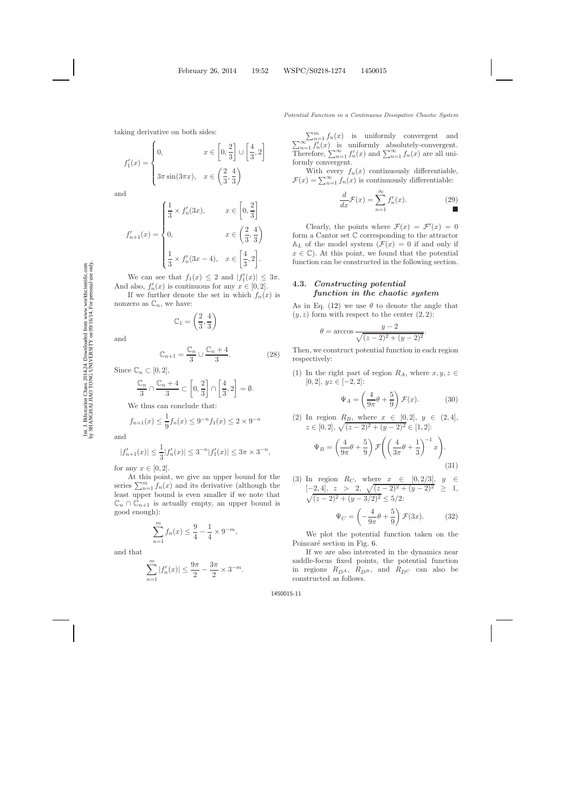taking derivative on both sides:

$$
f_1'(x) = \begin{cases} 0, & x \in \left[0, \frac{2}{3}\right] \cup \left[\frac{4}{3}, 2\right] \\ 3\pi \sin(3\pi x), & x \in \left(\frac{2}{3}, \frac{4}{3}\right) \end{cases}
$$

and

$$
f'_{n+1}(x) = \begin{cases} \frac{1}{3} \times f'_n(3x), & x \in \left[0, \frac{2}{3}\right] \\ 0, & x \in \left(\frac{2}{3}, \frac{4}{3}\right) \\ \frac{1}{3} \times f'_n(3x - 4), & x \in \left[\frac{4}{3}, 2\right]. \end{cases}
$$

We can see that  $f_1(x) \leq 2$  and  $|f'_1(x)| \leq 3\pi$ . And also,  $f'_n(x)$  is continuous for any  $x \in [0,2]$ .

If we further denote the set in which  $f_n(x)$  is nonzero as  $\mathbb{C}_n$ , we have:

$$
\mathbb{C}_1 = \left(\frac{2}{3}, \frac{4}{3}\right)
$$

and

$$
\mathbb{C}_{n+1} = \frac{\mathbb{C}_n}{3} \cup \frac{\mathbb{C}_n + 4}{3}.
$$
 (28)

Since  $\mathbb{C}_n \subset [0,2],$ 

$$
\frac{\mathbb{C}_n}{3}\cap \frac{\mathbb{C}_n+4}{3}\subset \left[0,\frac{2}{3}\right]\cap \left[\frac{4}{3},2\right]=\emptyset.
$$

We thus can conclude that:

$$
f_{n+1}(x) \le \frac{1}{9} f_n(x) \le 9^{-n} f_1(x) \le 2 \times 9^{-n}
$$

and

$$
|f'_{n+1}(x)| \le \frac{1}{3}|f'_n(x)| \le 3^{-n}|f'_1(x)| \le 3\pi \times 3^{-n},
$$

for any  $x \in [0, 2]$ .

At this point, we give an upper bound for the series  $\sum_{n=1}^{m} f_n(x)$  and its derivative (although the least upper bound is even smaller if we note that  $\mathbb{C}_n \cap \mathbb{C}_{n+1}$  is actually empty, an upper bound is good enough):

$$
\sum_{n=1}^{m} f_n(x) \le \frac{9}{4} - \frac{1}{4} \times 9^{-m},
$$

and that

$$
\sum_{n=1}^{m} |f'_n(x)| \le \frac{9\pi}{2} - \frac{3\pi}{2} \times 3^{-m}.
$$

 $\sum_{n=1}^{\infty} f'_n(x)$  $f_n(x)$  is uniformly convergent and  $\sum_{n=1}^{\infty} f'_n(x)$  is uniformly absolutely-convergent. Therefore,  $\sum_{n=1}^{\infty} f'_n(x)$  and  $\sum_{n=1}^{\infty} f_n(x)$  are all uniformly convergent.

With every  $f_n(x)$  continuously differentiable,  $\mathcal{F}(x) = \sum_{n=1}^{\infty} f_n(x)$  is continuously differentiable:

$$
\frac{d}{dx}\mathcal{F}(x) = \sum_{n=1}^{\infty} f'_n(x). \tag{29}
$$

Clearly, the points where  $\mathcal{F}(x) = \mathcal{F}'(x) = 0$ form a Cantor set C corresponding to the attractor  $A_L$  of the model system  $(\mathcal{F}(x) = 0$  if and only if  $x \in \mathbb{C}$ . At this point, we found that the potential function can be constructed in the following section.

### **4.3.** *Constructing potential function in the chaotic system*

As in Eq. [\(12\)](#page-5-1) we use  $\theta$  to denote the angle that  $(y, z)$  form with respect to the center  $(2, 2)$ :

$$
\theta = \arccos \frac{y - 2}{\sqrt{(z - 2)^2 + (y - 2)^2}}.
$$

Then, we construct potential function in each region respectively:

(1) In the right part of region  $R_A$ , where  $x, y, z \in$  $[0, 2]$ ,  $yz \in [-2, 2]$ :

$$
\Psi_A = \left(\frac{4}{9\pi}\theta + \frac{5}{9}\right)\mathcal{F}(x). \tag{30}
$$

<span id="page-10-1"></span><span id="page-10-0"></span>(2) In region 
$$
R_B
$$
, where  $x \in [0,2]$ ,  $y \in (2,4]$ ,  
\n $z \in [0,2]$ ,  $\sqrt{(z-2)^2 + (y-2)^2} \in [1,2]$ :

$$
\Psi_B = \left(\frac{4}{9\pi}\theta + \frac{5}{9}\right) \mathcal{F}\left(\left(\frac{4}{3\pi}\theta + \frac{1}{3}\right)^{-1}x\right).
$$
\n(31)

(3) In region 
$$
R_C
$$
, where  $x \in [0, 2/3]$ ,  $y \in [-2, 4]$ ,  $z > 2$ ,  $\sqrt{(z-2)^2 + (y-2)^2} \ge 1$ ,  
\n $\sqrt{(z-2)^2 + (y-3/2)^2} \le 5/2$ :  
\n $\Psi_C = \left(-\frac{4}{9\pi}\theta + \frac{5}{9}\right)\mathcal{F}(3x)$ . (32)

<span id="page-10-2"></span>We plot the potential function taken on the Poincaré section in Fig. [6.](#page-11-0)

9

If we are also interested in the dynamics near saddle-focus fixed points, the potential function in regions  $R_{D^A}$ ,  $R_{D^B}$ , and  $R_{D^C}$  can also be constructed as follows.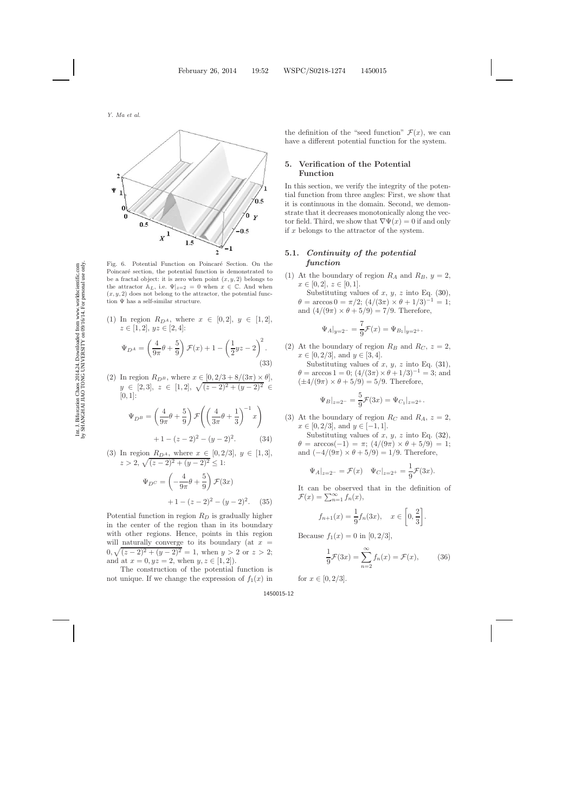

<span id="page-11-0"></span>Fig. 6. Potential Function on Poincaré Section. On the Poincaré section, the potential function is demonstrated to be a fractal object: it is zero when point  $(x, y, 2)$  belongs to the attractor  $A_L$ , i.e.  $\Psi|_{z=2} = 0$  when  $x \in \mathbb{C}$ . And when  $(x, y, 2)$  does not belong to the attractor, the potential function  $\Psi$  has a self-similar structure.

- (1) In region  $R_{D^A}$ , where  $x \in [0,2], y \in [1,2],$  $z \in [1, 2], yz \in [2, 4]:$  $\Psi_{D^A} = \left(\frac{4}{\Omega_{\sigma}}\right)$  $\frac{4}{9\pi}\theta + \frac{5}{9}$ 9  $\int \mathcal{F}(x) + 1 - \left(\frac{1}{2}\right)$  $\frac{1}{2}yz-2\bigg)^2$ . (33)
- (2) In region  $R_{D^B}$ , where  $x \in [0, 2/3 + 8/(3\pi) \times \theta]$ ,  $y \in [2, 3], z \in [1, 2], \sqrt{(z-2)^2 + (y-2)^2} \in$  $[0, 1]$ :

$$
\Psi_{D^B} = \left(\frac{4}{9\pi}\theta + \frac{5}{9}\right) \mathcal{F}\left(\left(\frac{4}{3\pi}\theta + \frac{1}{3}\right)^{-1} x\right) \n+1 - (z - 2)^2 - (y - 2)^2.
$$
\n(34)

(3) In region 
$$
R_{D^A}
$$
, where  $x \in [0, 2/3]$ ,  $y \in [1, 3]$ ,  
\n $z > 2$ ,  $\sqrt{(z-2)^2 + (y-2)^2} \le 1$ :  
\n $\Psi_{D^C} = \left(-\frac{4}{9\pi}\theta + \frac{5}{9}\right) \mathcal{F}(3x)$ 

$$
+1 - (z-2)^2 - (y-2)^2. \quad (35)
$$

Potential function in region  $R_D$  is gradually higher in the center of the region than in its boundary with other regions. Hence, points in this region will naturally converge to its boundary (at  $x =$  $0, \sqrt{(z-2)^2 + (y-2)^2} = 1$ , when  $y > 2$  or  $z > 2$ ; and at  $x = 0, yz = 2$ , when  $y, z \in [1, 2]$ .

The construction of the potential function is not unique. If we change the expression of  $f_1(x)$  in the definition of the "seed function"  $\mathcal{F}(x)$ , we can have a different potential function for the system.

### **5. Verification of the Potential Function**

In this section, we verify the integrity of the potential function from three angles: First, we show that it is continuous in the domain. Second, we demonstrate that it decreases monotonically along the vector field. Third, we show that  $\nabla \Psi(x) = 0$  if and only if x belongs to the attractor of the system.

# **5.1.** *Continuity of the potential function*

(1) At the boundary of region  $R_A$  and  $R_B$ ,  $y = 2$ ,  $x \in [0,2], z \in [0,1].$ 

Substituting values of  $x, y, z$  into Eq. [\(30\)](#page-10-0),  $\theta = \arccos 0 = \pi/2$ ;  $(4/(3\pi) \times \theta + 1/3)^{-1} = 1$ ; and  $\left(4/(9\pi) \times \theta + 5/9\right) = 7/9$ . Therefore,

$$
\Psi_A|_{y=2^-} = \frac{7}{9}\mathcal{F}(x) = \Psi_{B_1}|_{y=2^+}.
$$

(2) At the boundary of region  $R_B$  and  $R_C$ ,  $z = 2$ ,  $x \in [0, 2/3]$ , and  $y \in [3, 4]$ .

Substituting values of  $x, y, z$  into Eq. [\(31\)](#page-10-1),  $\theta = \arccos 1 = 0$ ;  $(4/(3\pi) \times \theta + 1/3)^{-1} = 3$ ; and  $(\pm 4/(9\pi) \times \theta + 5/9) = 5/9$ . Therefore,

$$
\Psi_B|_{z=2^-} = \frac{5}{9} \mathcal{F}(3x) = \Psi_{C_1}|_{z=2^+}.
$$

(3) At the boundary of region  $R_C$  and  $R_A$ ,  $z = 2$ ,  $x \in [0, 2/3]$ , and  $y \in [-1, 1]$ .

Substituting values of x, y, z into Eq.  $(32)$ ,  $\theta = \arccos(-1) = \pi$ ;  $\left( \frac{4}{9\pi} \right) \times \theta + \frac{5}{9} = 1$ ; and  $\left(\frac{-4}{9\pi}\right) \times \theta + \frac{5}{9} = \frac{1}{9}$ . Therefore,

$$
\Psi_A|_{z=2^-} = \mathcal{F}(x) \quad \Psi_C|_{z=2^+} = \frac{1}{9}\mathcal{F}(3x).
$$

It can be observed that in the definition of  $\mathcal{F}(x) = \sum_{n=1}^{\infty} f_n(x),$ 

$$
f_{n+1}(x) = \frac{1}{9} f_n(3x), \quad x \in \left[0, \frac{2}{3}\right].
$$

Because  $f_1(x) = 0$  in [0, 2/3],

$$
\frac{1}{9}\mathcal{F}(3x) = \sum_{n=2}^{\infty} f_n(x) = \mathcal{F}(x),\qquad(36)
$$

for  $x \in [0, 2/3]$ .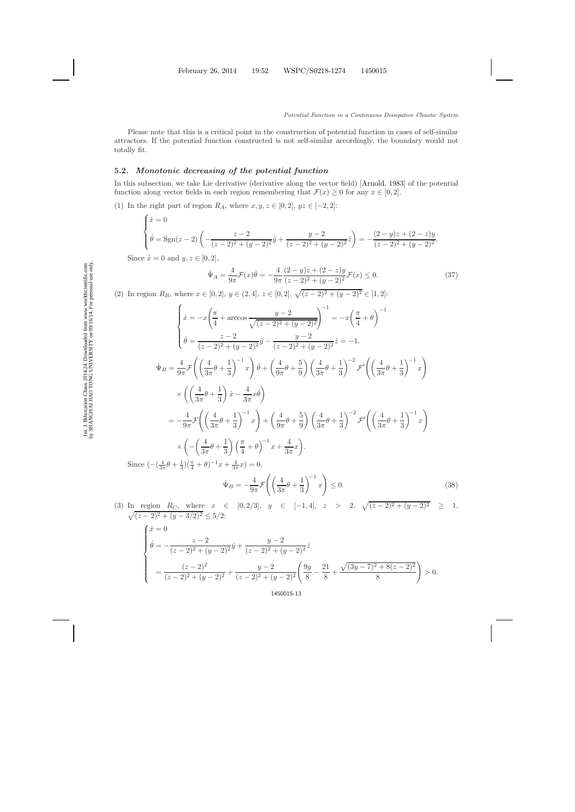Please note that this is a critical point in the construction of potential function in cases of self-similar attractors. If the potential function constructed is not self-similar accordingly, the boundary would not totally fit.

### **5.2.** *Monotonic decreasing of the potential function*

In this subsection, we take Lie derivative (derivative along the vector field) [\[Arnold](#page-21-22), [1983](#page-21-22)] of the potential function along vector fields in each region remembering that  $\mathcal{F}(x) \geq 0$  for any  $x \in [0, 2]$ .

(1) In the right part of region  $R_A$ , where  $x, y, z \in [0, 2], yz \in [-2, 2]$ :

$$
\begin{cases}\n\dot{x} = 0 \\
\dot{\theta} = \text{Sgn}(z - 2) \left( -\frac{z - 2}{(z - 2)^2 + (y - 2)^2} \dot{y} + \frac{y - 2}{(z - 2)^2 + (y - 2)^2} \dot{z} \right) = -\frac{(2 - y)z + (2 - z)y}{(z - 2)^2 + (y - 2)^2}.\n\end{cases}
$$

Since  $\dot{x} = 0$  and  $y, z \in [0, 2]$ ,

$$
\dot{\Psi}_A = \frac{4}{9\pi} \mathcal{F}(x)\dot{\theta} = -\frac{4}{9\pi} \frac{(2-y)z + (2-z)y}{(z-2)^2 + (y-2)^2} \mathcal{F}(x) \le 0.
$$
\n(37)

(2) In region  $R_B$ , where  $x \in [0,2], y \in (2,4], z \in [0,2], \sqrt{(z-2)^2 + (y-2)^2} \in [1,2]$ :

$$
\begin{aligned}\n\begin{cases}\n\dot{x} &= -x\left(\frac{\pi}{4} + \arccos\frac{y-2}{\sqrt{(z-2)^2 + (y-2)^2}}\right)^{-1} = -x\left(\frac{\pi}{4} + \theta\right)^{-1} \\
\dot{\theta} &= \frac{z-2}{(z-2)^2 + (y-2)^2} \dot{y} - \frac{y-2}{(z-2)^2 + (y-2)^2} \dot{z} = -1.\n\end{cases} \\
\dot{\Psi}_B &= \frac{4}{9\pi} \mathcal{F}\left(\left(\frac{4}{3\pi}\theta + \frac{1}{3}\right)^{-1} x\right) \dot{\theta} + \left(\frac{4}{9\pi}\theta + \frac{5}{9}\right) \left(\frac{4}{3\pi}\theta + \frac{1}{3}\right)^{-2} \mathcal{F}'\left(\left(\frac{4}{3\pi}\theta + \frac{1}{3}\right)^{-1} x\right) \\
&\times \left(\left(\frac{4}{3\pi}\theta + \frac{1}{3}\right) \dot{x} - \frac{4}{3\pi} x \dot{\theta}\right) \\
&= -\frac{4}{9\pi} \mathcal{F}\left(\left(\frac{4}{3\pi}\theta + \frac{1}{3}\right)^{-1} x\right) + \left(\frac{4}{9\pi}\theta + \frac{5}{9}\right) \left(\frac{4}{3\pi}\theta + \frac{1}{3}\right)^{-2} \mathcal{F}'\left(\left(\frac{4}{3\pi}\theta + \frac{1}{3}\right)^{-1} x\right) \\
&\times \left(-\left(\frac{4}{3\pi}\theta + \frac{1}{3}\right) \left(\frac{\pi}{4} + \theta\right)^{-1} x + \frac{4}{3\pi} x\right).\n\end{cases} \\
\end{aligned}
$$

Since  $\left(-\left(\frac{4}{3\pi}\theta + \frac{1}{3}\right)\left(\frac{\pi}{4} + \theta\right)^{-1}x + \frac{4}{3\pi}x\right) = 0,$ 

$$
\dot{\Psi}_B = -\frac{4}{9\pi} \mathcal{F} \left( \left( \frac{4}{3\pi} \theta + \frac{1}{3} \right)^{-1} x \right) \le 0. \tag{38}
$$

(3) In region  $R_C$ , where  $x \in [0, 2/3], y \in [-1, 4], z > 2, \sqrt{(z-2)^2 + (y-2)}$  $\sqrt{}$  $\overline{2}$   $\geq$  1,  $(z-2)^2 + (y-3/2)^2 \leq 5/2$ 

$$
\begin{cases}\n\dot{x} = 0 \\
\dot{\theta} = -\frac{z-2}{(z-2)^2 + (y-2)^2} \dot{y} + \frac{y-2}{(z-2)^2 + (y-2)^2} \dot{z} \\
= \frac{(z-2)^2}{(z-2)^2 + (y-2)^2} + \frac{y-2}{(z-2)^2 + (y-2)^2} \left(\frac{9y}{8} - \frac{21}{8} + \frac{\sqrt{(3y-7)^2 + 8(z-2)^2}}{8}\right) > 0.\n\end{cases}
$$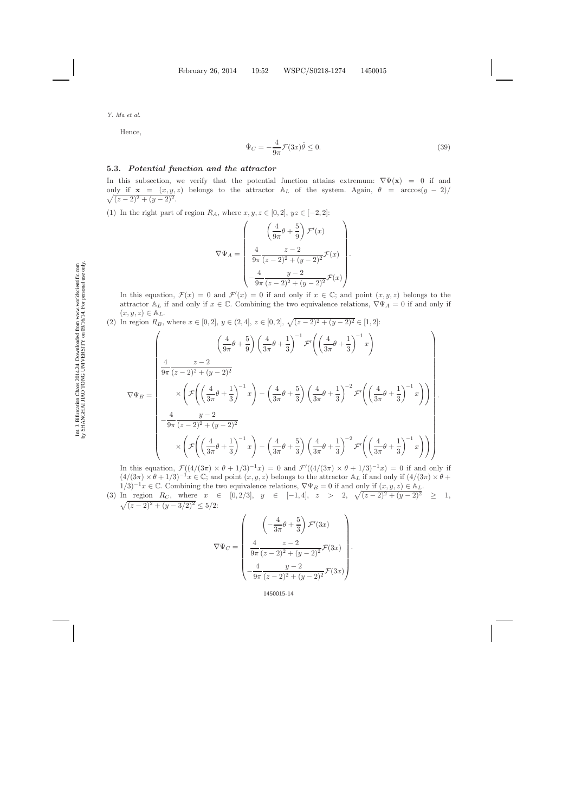Hence,

$$
\dot{\Psi}_C = -\frac{4}{9\pi} \mathcal{F}(3x)\dot{\theta} \le 0.
$$
\n(39)

### **5.3.** *Potential function and the attractor*

In this subsection, we verify that the potential function attains extremum:  $\nabla \Psi(\mathbf{x}) = 0$  if and  $\sqrt{}$ only if  $\mathbf{x} = (x, y, z)$  belongs to the attractor  $\mathbb{A}_L$  of the system. Again,  $\theta = \arccos(y - 2)$  $(z-2)^2 + (y-2)^2$ .

(1) In the right part of region  $R_A$ , where  $x, y, z \in [0, 2], yz \in [-2, 2]$ :

$$
\nabla \Psi_A = \begin{pmatrix} \left(\frac{4}{9\pi}\theta + \frac{5}{9}\right) \mathcal{F}'(x) \\ \frac{4}{9\pi} \frac{z-2}{(z-2)^2 + (y-2)^2} \mathcal{F}(x) \\ -\frac{4}{9\pi} \frac{y-2}{(z-2)^2 + (y-2)^2} \mathcal{F}(x) \end{pmatrix}.
$$

In this equation,  $\mathcal{F}(x) = 0$  and  $\mathcal{F}'(x) = 0$  if and only if  $x \in \mathbb{C}$ ; and point  $(x, y, z)$  belongs to the attractor  $\mathbb{A}_L$  if and only if  $x \in \mathbb{C}$ . Combining the two equivalence relations,  $\nabla \Psi_A = 0$  if and only if  $(x, y, z) \in A_L$ .

(2) In region  $R_B$ , where  $x \in [0,2]$ ,  $y \in (2,4]$ ,  $z \in [0,2]$ ,  $\sqrt{(z-2)^2 + (y-2)^2} \in [1,2]$ :

$$
\nabla \Psi_B = \begin{pmatrix}\n\left(\frac{4}{9\pi}\theta + \frac{5}{9}\right)\left(\frac{4}{3\pi}\theta + \frac{1}{3}\right)^{-1}\mathcal{F}'\left(\left(\frac{4}{3\pi}\theta + \frac{1}{3}\right)^{-1}x\right) \\
\frac{4}{9\pi} \frac{z-2}{(z-2)^2 + (y-2)^2} \\
\times \left(\mathcal{F}\left(\left(\frac{4}{3\pi}\theta + \frac{1}{3}\right)^{-1}x\right) - \left(\frac{4}{3\pi}\theta + \frac{5}{3}\right)\left(\frac{4}{3\pi}\theta + \frac{1}{3}\right)^{-2}\mathcal{F}'\left(\left(\frac{4}{3\pi}\theta + \frac{1}{3}\right)^{-1}x\right)\right) \\
-\frac{4}{9\pi} \frac{y-2}{(z-2)^2 + (y-2)^2} \\
\times \left(\mathcal{F}\left(\left(\frac{4}{3\pi}\theta + \frac{1}{3}\right)^{-1}x\right) - \left(\frac{4}{3\pi}\theta + \frac{5}{3}\right)\left(\frac{4}{3\pi}\theta + \frac{1}{3}\right)^{-2}\mathcal{F}'\left(\left(\frac{4}{3\pi}\theta + \frac{1}{3}\right)^{-1}x\right)\right)\n\end{pmatrix}.
$$

In this equation,  $\mathcal{F}((4/(3\pi) \times \theta + 1/3)^{-1}x) = 0$  and  $\mathcal{F}'((4/(3\pi) \times \theta + 1/3)^{-1}x) = 0$  if and only if  $(4/(3\pi) \times \theta + 1/3)^{-1}x \in \mathbb{C}$ ; and point  $(x, y, z)$  belongs to the attractor  $\mathbb{A}_L$  if and only if  $(4/(3\pi) \times \theta +$  $1/3$ <sup>-1</sup>x ∈ C. Combining the two equivalence relations,  $\nabla \Psi_B = 0$  if and only if  $(x, y, z) \in A_L$ .

(3) In region  $R_C$ , where  $x \in [0, 2/3], y \in [-1, 4], z > 2, \sqrt{(z-2)^2 + (y-2)^2} \geq 1$ ,  $\sqrt{(z-2)^2 + (y-3/2)^2} \leq 5/2$ :

$$
\nabla \Psi_C = \begin{pmatrix} \left( -\frac{4}{3\pi} \theta + \frac{5}{3} \right) \mathcal{F}'(3x) \\ \frac{4}{9\pi} \frac{z-2}{(z-2)^2 + (y-2)^2} \mathcal{F}(3x) \\ -\frac{4}{9\pi} \frac{y-2}{(z-2)^2 + (y-2)^2} \mathcal{F}(3x) \end{pmatrix}
$$

.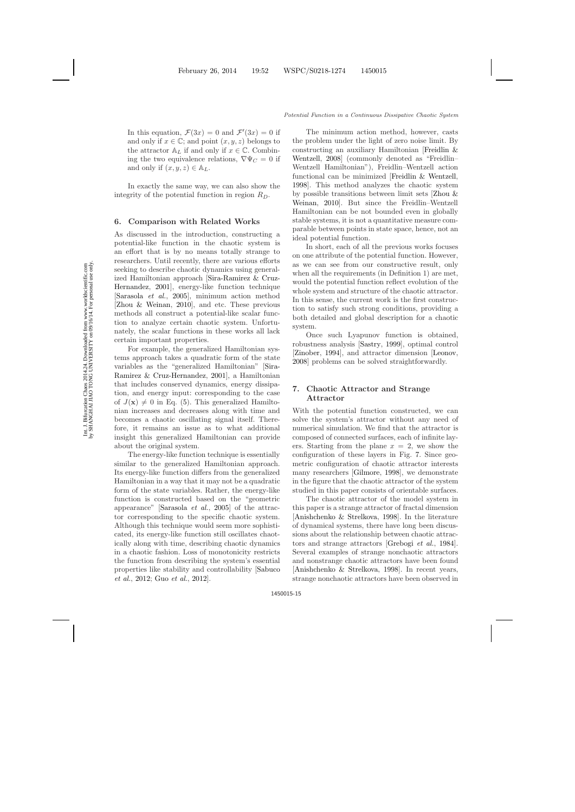In this equation,  $\mathcal{F}(3x) = 0$  and  $\mathcal{F}'(3x) = 0$  if and only if  $x \in \mathbb{C}$ ; and point  $(x, y, z)$  belongs to the attractor  $\mathbb{A}_L$  if and only if  $x \in \mathbb{C}$ . Combining the two equivalence relations,  $\nabla \Psi_C = 0$  if and only if  $(x, y, z) \in A_L$ .

In exactly the same way, we can also show the integrity of the potential function in region  $R_D$ .

#### **6. Comparison with Related Works**

As discussed in the introduction, constructing a potential-like function in the chaotic system is an effort that is by no means totally strange to researchers. Until recently, there are various efforts seeking to describe chaotic dynamics using generalized Hami[ltonian approach \[](#page-22-15)Sira-Ramirez & Cruz-Hernandez, [2001](#page-22-15)], energy-like function technique [\[Sarasola](#page-22-16) *et al.*, [2005](#page-22-16)], minimum action method [\[Zhou & Weinan](#page-22-17), [2010](#page-22-17)], and etc. These previous methods all construct a potential-like scalar function to analyze certain chaotic system. Unfortunately, the scalar functions in these works all lack certain important properties.

For example, the generalized Hamiltonian systems approach takes a quadratic form of the state variables as the "generaliz[ed Hamiltonian" \[](#page-22-15)Sira-Ramirez & Cruz-Hernandez, [2001](#page-22-15)], a Hamiltonian that includes conserved dynamics, energy dissipation, and energy input: corresponding to the case of  $J(\mathbf{x}) \neq 0$  in Eq. [\(5\)](#page-2-1). This generalized Hamiltonian increases and decreases along with time and becomes a chaotic oscillating signal itself. Therefore, it remains an issue as to what additional insight this generalized Hamiltonian can provide about the original system.

The energy-like function technique is essentially similar to the generalized Hamiltonian approach. Its energy-like function differs from the generalized Hamiltonian in a way that it may not be a quadratic form of the state variables. Rather, the energy-like function is constructed based on the "geometric appearance" [\[Sarasola](#page-22-16) *et al.*, [2005](#page-22-16)] of the attractor corresponding to the specific chaotic system. Although this technique would seem more sophisticated, its energy-like function still oscillates chaotically along with time, describing chaotic dynamics in a chaotic fashion. Loss of monotonicity restricts the function from describing the system's essential prop[erties like stability and controllability \[](#page-22-18)Sabuco *et al.*, [2012](#page-22-18); Guo *[et al.](#page-21-23)*, [2012](#page-21-23)].

The minimum action method, however, casts the problem under the light of zero noise limit. By constru[cting an auxiliary Hamiltonian \[](#page-21-24)Freidlin & Wentzell, [2008](#page-21-24)] (commonly denoted as "Freidlin– Wentzell Hamiltonian"), Freidlin–Wentzell action functional can be minimized [\[Freidlin & Wentzell](#page-21-25), [1998](#page-21-25)]. This method analyzes the chaotic system by pos[sible transitions between limit sets \[](#page-22-17)Zhou & Weinan, [2010](#page-22-17)]. But since the Freidlin–Wentzell Hamiltonian can be not bounded even in globally stable systems, it is not a quantitative measure comparable between points in state space, hence, not an ideal potential function.

In short, each of all the previous works focuses on one attribute of the potential function. However, as we can see from our constructive result, only when all the requirements (in Definition 1) are met, would the potential function reflect evolution of the whole system and structure of the chaotic attractor. In this sense, the current work is the first construction to satisfy such strong conditions, providing a both detailed and global description for a chaotic system.

Once such Lyapunov function is obtained, robustness analysis [\[Sastry](#page-22-19), [1999](#page-22-19)], optimal control [\[Zinober](#page-22-20), [1994](#page-22-20)], and attractor dimension [\[Leonov](#page-21-26), [2008](#page-21-26)] problems can be solved straightforwardly.

# **7. Chaotic Attractor and Strange Attractor**

With the potential function constructed, we can solve the system's attractor without any need of numerical simulation. We find that the attractor is composed of connected surfaces, each of infinite layers. Starting from the plane  $x = 2$ , we show the configuration of these layers in Fig. [7.](#page-15-0) Since geometric configuration of chaotic attractor interests many researchers [\[Gilmore](#page-21-27), [1998](#page-21-27)], we demonstrate in the figure that the chaotic attractor of the system studied in this paper consists of orientable surfaces.

The chaotic attractor of the model system in this paper is a strange attractor of fractal dimension [\[Anishchenko & Strelkova](#page-21-18), [1998](#page-21-18)]. In the literature of dynamical systems, there have long been discussions about the relationship between chaotic attractors and strange attractors [\[Grebogi](#page-21-28) *et al.*, [1984](#page-21-28)]. Several examples of strange nonchaotic attractors and nonstrange chaotic attractors have been found [\[Anishchenko & Strelkova](#page-21-18), [1998](#page-21-18)]. In recent years, strange nonchaotic attractors have been observed in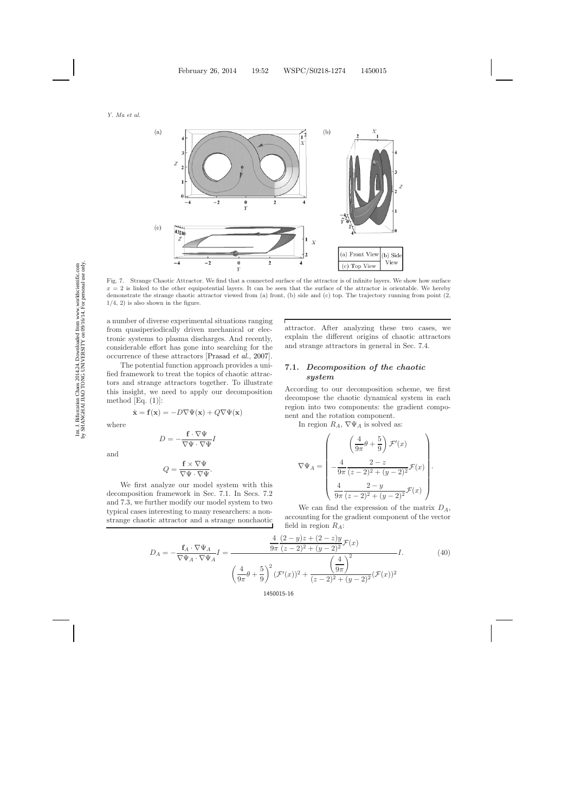

Fig. 7. Strange Chaotic Attractor. We find that a connected surface of the attractor is of infinite layers. We show how surface  $x = 2$  is linked to the other equipotential layers. It can be seen that the surface of the attractor is orientable. We hereby demonstrate the strange chaotic attractor viewed from (a) front, (b) side and (c) top. The trajectory running from point (2,  $1/4$ , 2) is also shown in the figure.

Г

a number of diverse experimental situations ranging from quasiperiodically driven mechanical or electronic systems to plasma discharges. And recently, considerable effort has gone into searching for the occurrence of these attractors [\[Prasad](#page-21-29) *et al.*, [2007](#page-21-29)].

The potential function approach provides a unified framework to treat the topics of chaotic attractors and strange attractors together. To illustrate this insight, we need to apply our decomposition method  $[Eq. (1)]$  $[Eq. (1)]$  $[Eq. (1)]$ :

$$
\dot{\mathbf{x}} = \mathbf{f}(\mathbf{x}) = -D\nabla\Psi(\mathbf{x}) + Q\nabla\Psi(\mathbf{x})
$$

where

$$
D = -\frac{\mathbf{f} \cdot \nabla \Psi}{\nabla \Psi \cdot \nabla \Psi} I
$$

and

$$
Q = \frac{\mathbf{f} \times \nabla \Psi}{\nabla \Psi \cdot \nabla \Psi}.
$$

We first analyze our model system with this decomposition framework in Sec. 7.1. In Secs. 7.2 and 7.3, we further modify our model system to two typical cases interesting to many researchers: a nonstrange chaotic attractor and a strange nonchaotic attractor. After analyzing these two cases, we explain the different origins of chaotic attractors and strange attractors in general in Sec. 7.4.

# **7.1.** *Decomposition of the chaotic system*

According to our decomposition scheme, we first decompose the chaotic dynamical system in each region into two components: the gradient component and the rotation component.

In region  $R_A$ ,  $\nabla \Psi_A$  is solved as:

$$
\nabla \Psi_A = \begin{pmatrix} \left(\frac{4}{9\pi}\theta + \frac{5}{9}\right) \mathcal{F}'(x) \\ -\frac{4}{9\pi} \frac{2-z}{(z-2)^2 + (y-2)^2} \mathcal{F}(x) \\ \frac{4}{9\pi} \frac{2-y}{(z-2)^2 + (y-2)^2} \mathcal{F}(x) \end{pmatrix}.
$$

We can find the expression of the matrix  $D_A$ , accounting for the gradient component of the vector field in region  $R_A$ :

$$
D_A = -\frac{\mathbf{f}_A \cdot \nabla \Psi_A}{\nabla \Psi_A \cdot \nabla \Psi_A} I = \frac{\frac{4}{9\pi} \frac{(2-y)z + (2-z)y}{(z-2)^2 + (y-2)^2} \mathcal{F}(x)}{\left(\frac{4}{9\pi}\theta + \frac{5}{9}\right)^2 (\mathcal{F}'(x))^2 + \frac{\left(\frac{4}{9\pi}\right)^2}{(z-2)^2 + (y-2)^2} (\mathcal{F}(x))^2}
$$
(40)

<span id="page-15-0"></span>Int. J. Bifurcation Chaos 2014.24. Downloaded from www.worldscientific.com<br>by SHANGHAI JIAO TONG UNIVERSITY on 09/16/14. For personal use only. by SHANGHAI JIAO TONG UNIVERSITY on 09/16/14. For personal use only.Int. J. Bifurcation Chaos 2014.24. Downloaded from www.worldscientific.com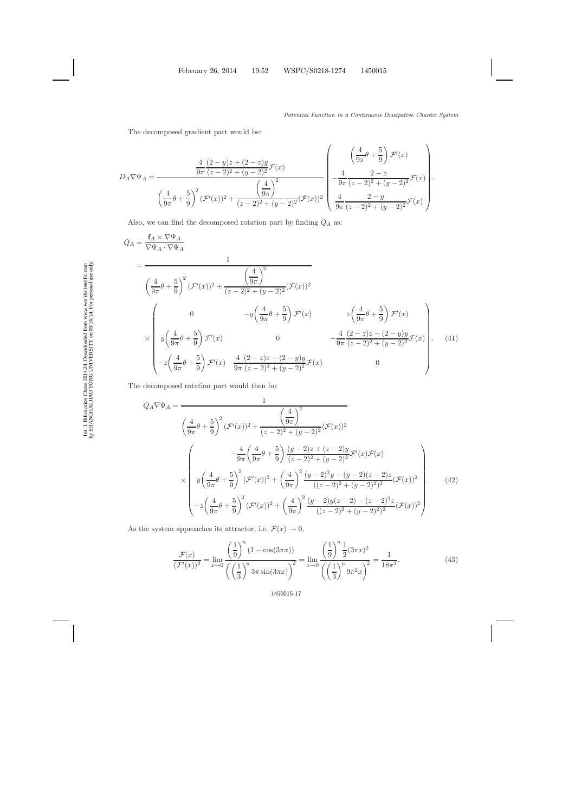The decomposed gradient part would be:

$$
D_A \nabla \Psi_A = \frac{\frac{4}{9\pi} \frac{(2-y)z + (2-z)y}{(z-2)^2 + (y-2)^2} \mathcal{F}(x)}{\left(\frac{4}{9\pi}\theta + \frac{5}{9}\right)^2 (\mathcal{F}'(x))^2 + \frac{\left(\frac{4}{9\pi}\right)^2}{(z-2)^2 + (y-2)^2} (\mathcal{F}(x))^2} \begin{pmatrix} \frac{4}{9\pi} \frac{2-z}{(z-2)^2 + (y-2)^2} \mathcal{F}(x) \\ \frac{4}{9\pi} \frac{2-y}{(z-2)^2 + (y-2)^2} \mathcal{F}(x) \end{pmatrix}.
$$

Also, we can find the decomposed rotation part by finding  $\mathbb{Q}_A$  as:

$$
Q_{A} = \frac{\mathbf{f}_{A} \times \nabla \Psi_{A}}{\nabla \Psi_{A} \cdot \nabla \Psi_{A}}
$$
\n
$$
= \frac{1}{\left(\frac{4}{9\pi}\theta + \frac{5}{9}\right)^{2} (\mathcal{F}'(x))^{2} + \frac{\left(\frac{4}{9\pi}\right)^{2}}{(z-2)^{2} + (y-2)^{2}} (\mathcal{F}(x))^{2}}
$$
\n
$$
\times \begin{pmatrix}\n0 & -y\left(\frac{4}{9\pi}\theta + \frac{5}{9}\right) \mathcal{F}'(x) & z\left(\frac{4}{9\pi}\theta + \frac{5}{9}\right) \mathcal{F}'(x) \\
y\left(\frac{4}{9\pi}\theta + \frac{5}{9}\right) \mathcal{F}'(x) & 0 & -\frac{4}{9\pi} \frac{(2-z)z - (2-y)y}{(z-2)^{2} + (y-2)^{2}} \mathcal{F}(x) \\
-z\left(\frac{4}{9\pi}\theta + \frac{5}{9}\right) \mathcal{F}'(x) & \frac{4}{9\pi} \frac{(2-z)z - (2-y)y}{(z-2)^{2} + (y-2)^{2}} \mathcal{F}(x) & 0\n\end{pmatrix}.
$$
\n(41)

The decomposed rotation part would then be:

$$
Q_A \nabla \Psi_A = \frac{1}{\left(\frac{4}{9\pi}\theta + \frac{5}{9}\right)^2 (\mathcal{F}'(x))^2 + \frac{\left(\frac{4}{9\pi}\right)^2}{(z-2)^2 + (y-2)^2} (\mathcal{F}(x))^2}
$$

$$
\times \left(\begin{array}{c}\n\frac{4}{9\pi} \left(\frac{4}{9\pi}\theta + \frac{5}{9}\right) \frac{(y-2)z + (z-2)y}{(z-2)^2 + (y-2)^2} \mathcal{F}'(x) \mathcal{F}(x) \\
y \left(\frac{4}{9\pi}\theta + \frac{5}{9}\right)^2 (\mathcal{F}'(x))^2 + \left(\frac{4}{9\pi}\right)^2 \frac{(y-2)^2y - (y-2)(z-2)z}{((z-2)^2 + (y-2)^2)^2} (\mathcal{F}(x))^2 \\
-z \left(\frac{4}{9\pi}\theta + \frac{5}{9}\right)^2 (\mathcal{F}'(x))^2 + \left(\frac{4}{9\pi}\right)^2 \frac{(y-2)y(z-2) - (z-2)^2z}{((z-2)^2 + (y-2)^2)^2} (\mathcal{F}(x))^2\right)\n\end{array} \right).
$$
(42)

As the system approaches its attractor, i.e.  $\mathcal{F}(x) \to 0$ ,

$$
\mathcal{F}(x) = \lim_{x \to 0} \frac{\left(\frac{1}{9}\right)^n (1 - \cos(3\pi x))}{\left(\left(\frac{1}{3}\right)^n 3\pi \sin(3\pi x)\right)^2} = \lim_{x \to 0} \frac{\left(\frac{1}{9}\right)^n \frac{1}{2} (3\pi x)^2}{\left(\left(\frac{1}{3}\right)^n 9\pi^2 x\right)^2} = \frac{1}{18\pi^2}.
$$
\n(43)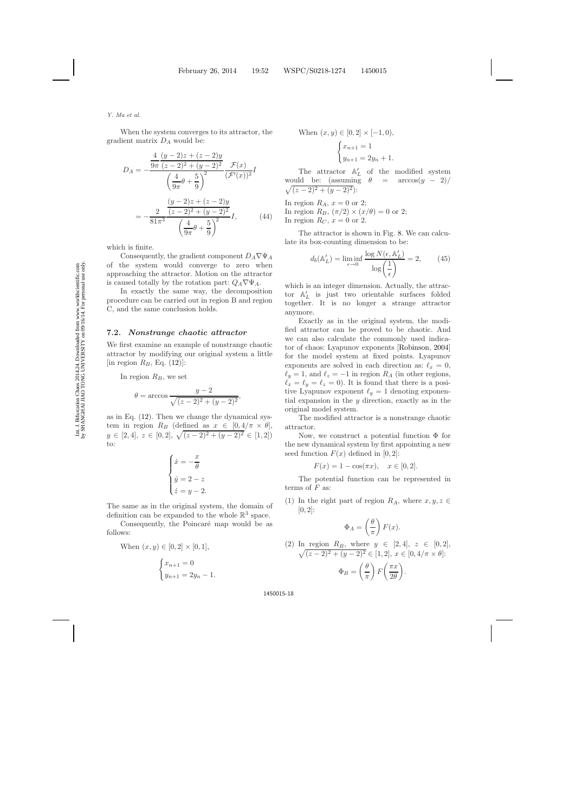When the system converges to its attractor, the gradient matrix  $D_A$  would be:

$$
D_A = -\frac{\frac{4}{9\pi} \frac{(y-2)z + (z-2)y}{(z-2)^2 + (y-2)^2} \mathcal{F}(x)}{\left(\frac{4}{9\pi}\theta + \frac{5}{9}\right)^2} \frac{\mathcal{F}(x)}{(\mathcal{F}'(x))^2} I
$$

$$
= -\frac{2}{81\pi^3} \frac{\frac{(y-2)z + (z-2)y}{(z-2)^2 + (y-2)^2}}{\left(\frac{4}{9\pi}\theta + \frac{5}{9}\right)^2} I,
$$
(44)

which is finite.

Consequently, the gradient component  $D_A \nabla \Psi_A$ of the system would converge to zero when approaching the attractor. Motion on the attractor is caused totally by the rotation part:  $Q_A \nabla \Psi_A$ .

In exactly the same way, the decomposition procedure can be carried out in region B and region C, and the same conclusion holds.

#### **7.2.** *Nonstrange chaotic attractor*

We first examine an example of nonstrange chaotic attractor by modifying our original system a little [in region  $R_B$ , Eq. [\(12\)](#page-5-2)]:

In region  $R_B$ , we set

$$
\theta = \arccos \frac{y - 2}{\sqrt{(z - 2)^2 + (y - 2)^2}},
$$

as in Eq. [\(12\)](#page-5-2). Then we change the dynamical system in region  $R_B$  (defined as  $x \in [0, 4/\pi \times \theta]$ ,  $y \in [2, 4], z \in [0, 2], \sqrt{(z-2)^2 + (y-2)^2} \in [1, 2]$ to:

$$
\begin{cases}\n\dot{x} = -\frac{x}{\theta} \\
\dot{y} = 2 - z \\
\dot{z} = y - 2.\n\end{cases}
$$

The same as in the original system, the domain of definition can be expanded to the whole  $\mathbb{R}^3$  space.

Consequently, the Poincaré map would be as follows:

When 
$$
(x, y) \in [0, 2] \times [0, 1]
$$
,  

$$
\begin{cases} x_{n+1} = 0 \\ y_{n+1} = 2y_n - 1. \end{cases}
$$

When 
$$
(x, y) \in [0, 2] \times [-1, 0),
$$
  

$$
\begin{cases} x_{n+1} = 1 \\ y_{n+1} = 2y_n + 1. \end{cases}
$$

The attractor  $\mathbb{A}'_L$  of the modified system would be: (assuming  $\theta = \arccos(y - 2)$ )  $\sqrt{(z-2)^2+(y-2)^2}$ :

In region  $R_A$ ,  $x = 0$  or 2; In region  $R_B$ ,  $(\pi/2) \times (x/\theta) = 0$  or 2; In region  $R_C$ ,  $x = 0$  or 2.

The attractor is shown in Fig. [8.](#page-18-0) We can calculate its box-counting dimension to be:

$$
d_b(\mathbb{A}'_L) = \liminf_{\epsilon \to 0} \frac{\log N(\epsilon, \mathbb{A}'_L)}{\log \left(\frac{1}{\epsilon}\right)} = 2,\qquad(45)
$$

which is an integer dimension. Actually, the attractor  $\mathbb{A}'_L$  is just two orientable surfaces folded together. It is no longer a strange attractor anymore.

Exactly as in the original system, the modified attractor can be proved to be chaotic. And we can also calculate the commonly used indicator of chaos: Lyapunov exponents [\[Robinson,](#page-22-12) [2004](#page-22-12)] for the model system at fixed points. Lyapunov exponents are solved in each direction as:  $\ell_x = 0$ ,  $\ell_y = 1$ , and  $\ell_z = -1$  in region  $R_A$  (in other regions,  $\ell_x = \ell_y = \ell_z = 0$ . It is found that there is a positive Lyapunov exponent  $\ell_y = 1$  denoting exponential expansion in the  $y$  direction, exactly as in the original model system.

The modified attractor is a nonstrange chaotic attractor.

Now, we construct a potential function  $\Phi$  for the new dynamical system by first appointing a new seed function  $F(x)$  defined in [0, 2]:

$$
F(x) = 1 - \cos(\pi x), \quad x \in [0, 2].
$$

The potential function can be represented in terms of  $F$  as:

(1) In the right part of region  $R_A$ , where  $x, y, z \in$  $[0, 2]$ :

$$
\Phi_A = \left(\frac{\theta}{\pi}\right) F(x).
$$

(2) In region 
$$
R_B
$$
, where  $y \in [2, 4]$ ,  $z \in [0, 2]$ ,  
\n
$$
\sqrt{(z-2)^2 + (y-2)^2} \in [1, 2], x \in [0, 4/\pi \times \theta]
$$
\n
$$
\Phi_B = \left(\frac{\theta}{\pi}\right) F\left(\frac{\pi x}{2\theta}\right).
$$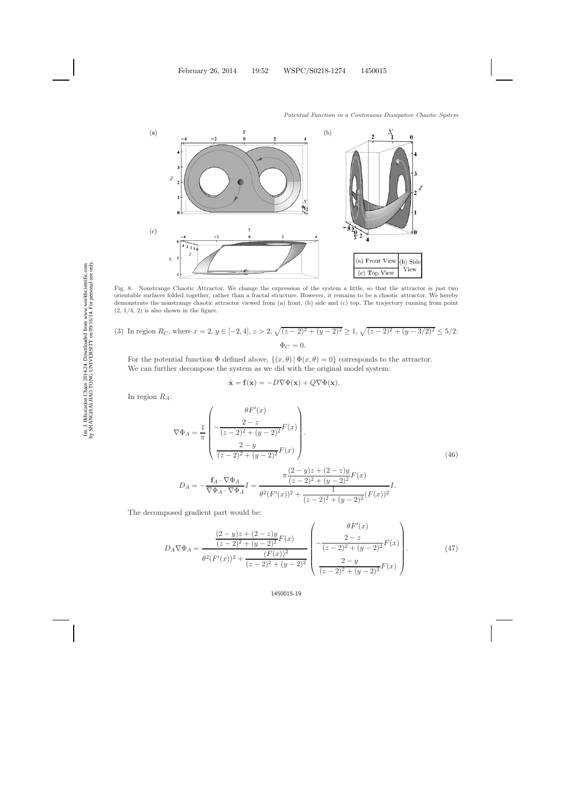

<span id="page-18-0"></span>Fig. 8. Nonstrange Chaotic Attractor. We change the expression of the system a little, so that the attractor is just two orientable surfaces folded together, rather than a fractal structure. However, it remains to be a chaotic attractor. We hereby demonstrate the nonstrange chaotic attractor viewed from (a) front, (b) side and (c) top. The trajectory running from point  $(2, 1/4, 2)$  is also shown in the figure.

(3) In region 
$$
R_C
$$
, where  $x = 2$ ,  $y \in [-2, 4]$ ,  $z > 2$ ,  $\sqrt{(z-2)^2 + (y-2)^2} \ge 1$ ,  $\sqrt{(z-2)^2 + (y-3/2)^2} \le 5/2$ :  
\n $\Phi_C = 0$ .

For the potential function  $\Phi$  defined above,  $\{(x,\theta) | \Phi(x,\theta)=0\}$  corresponds to the attractor. We can further decompose the system as we did with the original model system:

$$
\dot{\mathbf{x}} = \mathbf{f}(\mathbf{x}) = -D\nabla\Phi(\mathbf{x}) + Q\nabla\Phi(\mathbf{x}).
$$

In region  $R_A$ :

$$
\nabla \Phi_A = \frac{1}{\pi} \begin{pmatrix} \theta F'(x) \\ -\frac{2-z}{(z-2)^2 + (y-2)^2} F(x) \\ \frac{2-y}{(z-2)^2 + (y-2)^2} F(x) \end{pmatrix} . \tag{46}
$$

$$
D_A = -\frac{\mathbf{f}_A \cdot \nabla \Phi_A}{\nabla \Phi_A \cdot \nabla \Phi_A} I = \frac{\pi \frac{(2-y)z + (2-z)y}{(z-2)^2 + (y-2)^2} F(x)}{\theta^2 (F'(x))^2 + \frac{1}{(z-2)^2 + (y-2)^2} (F(x))^2} I.
$$

The decomposed gradient part would be:

$$
D_A \nabla \Phi_A = \frac{\frac{(2-y)z + (2-z)y}{(z-2)^2 + (y-2)^2} F(x)}{\theta^2 (F'(x))^2 + \frac{(F(x))^2}{(z-2)^2 + (y-2)^2}} \left( \frac{\theta F'(x)}{(z-2)^2 + (y-2)^2} F(x) \right).
$$
(47)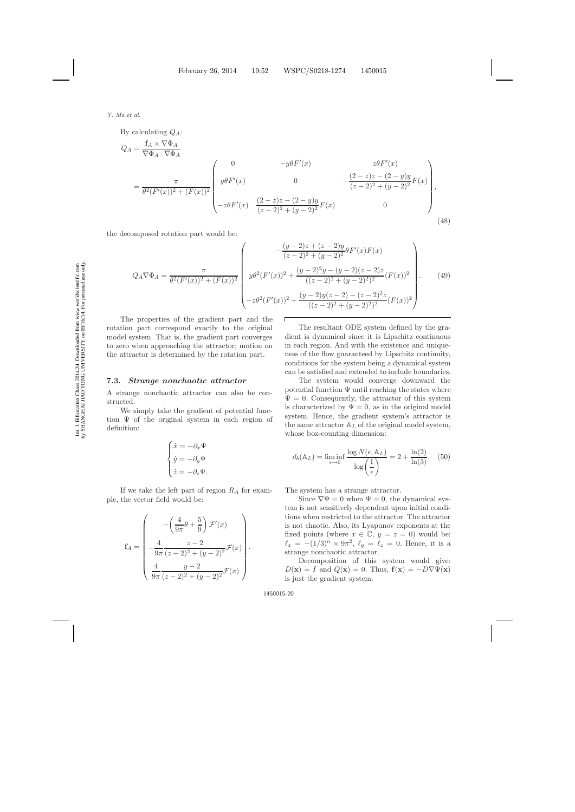By calculating  $Q_A$ :

$$
Q_{A} = \frac{\mathbf{f}_{A} \times \nabla \Phi_{A}}{\nabla \Phi_{A} \cdot \nabla \Phi_{A}}
$$
\n
$$
= \frac{\pi}{\theta^{2}(F'(x))^{2} + (F(x))^{2}} \begin{pmatrix} 0 & -y\theta F'(x) & z\theta F'(x) \\ y\theta F'(x) & 0 & -\frac{(2-z)z - (2-y)y}{(z-2)^{2} + (y-2)^{2}}F(x) \\ -z\theta F'(x) & \frac{(2-z)z - (2-y)y}{(z-2)^{2} + (y-2)^{2}}F(x) & 0 \end{pmatrix},
$$
\n(48)

the decomposed rotation part would be:

$$
Q_A \nabla \Phi_A = \frac{\pi}{\theta^2 (F'(x))^2 + (F(x))^2} \begin{pmatrix} -\frac{(y-2)z + (z-2)y}{(z-2)^2 + (y-2)^2} \theta F'(x) F(x) \\ y \theta^2 (F'(x))^2 + \frac{(y-2)^2 y - (y-2)(z-2)z}{((z-2)^2 + (y-2)^2)^2} (F(x))^2 \\ -z \theta^2 (F'(x))^2 + \frac{(y-2)y(z-2) - (z-2)^2 z}{((z-2)^2 + (y-2)^2)^2} (F(x))^2 \end{pmatrix} . \tag{49}
$$

Т

The properties of the gradient part and the rotation part correspond exactly to the original model system. That is, the gradient part converges to zero when approaching the attractor; motion on the attractor is determined by the rotation part.

#### **7.3.** *Strange nonchaotic attractor*

A strange nonchaotic attractor can also be constructed.

We simply take the gradient of potential function  $\Psi$  of the original system in each region of definition:

$$
\begin{cases} \dot{x} = -\partial_x \Psi \\ \dot{y} = -\partial_y \Psi \\ \dot{z} = -\partial_z \Psi. \end{cases}
$$

If we take the left part of region  $R_A$  for example, the vector field would be:

$$
\mathbf{f}_A = \begin{pmatrix} -\left(\frac{4}{9\pi}\theta + \frac{5}{9}\right) \mathcal{F}'(x) \\ -\frac{4}{9\pi} \frac{z-2}{(z-2)^2 + (y-2)^2} \mathcal{F}(x) \\ \frac{4}{9\pi} \frac{y-2}{(z-2)^2 + (y-2)^2} \mathcal{F}(x) \end{pmatrix}.
$$

The resultant ODE system defined by the gradient is dynamical since it is Lipschitz continuous in each region. And with the existence and uniqueness of the flow guaranteed by Lipschitz continuity, conditions for the system being a dynamical system can be satisfied and extended to include boundaries.

The system would converge downward the potential function  $\Psi$  until reaching the states where  $\Psi = 0$ . Consequently, the attractor of this system is characterized by  $\Psi = 0$ , as in the original model system. Hence, the gradient system's attractor is the same attractor  $A_L$  of the original model system, whose box-counting dimension:

$$
d_b(\mathbb{A}_L) = \liminf_{\epsilon \to 0} \frac{\log N(\epsilon, \mathbb{A}_L)}{\log \left(\frac{1}{\epsilon}\right)} = 2 + \frac{\ln(2)}{\ln(3)}.\tag{50}
$$

The system has a strange attractor.

Since  $\nabla \Psi = 0$  when  $\Psi = 0$ , the dynamical system is not sensitively dependent upon initial conditions when restricted to the attractor. The attractor is not chaotic. Also, its Lyapunov exponents at the fixed points (where  $x \in \mathbb{C}$ ,  $y = z = 0$ ) would be:  $\ell_x = -(1/3)^n \times 9\pi^2$ ,  $\ell_y = \ell_z = 0$ . Hence, it is a strange nonchaotic attractor.

Decomposition of this system would give:  $D(\mathbf{x}) = I$  and  $Q(\mathbf{x}) = 0$ . Thus,  $\mathbf{f}(\mathbf{x}) = -D\nabla\Psi(\mathbf{x})$ is just the gradient system.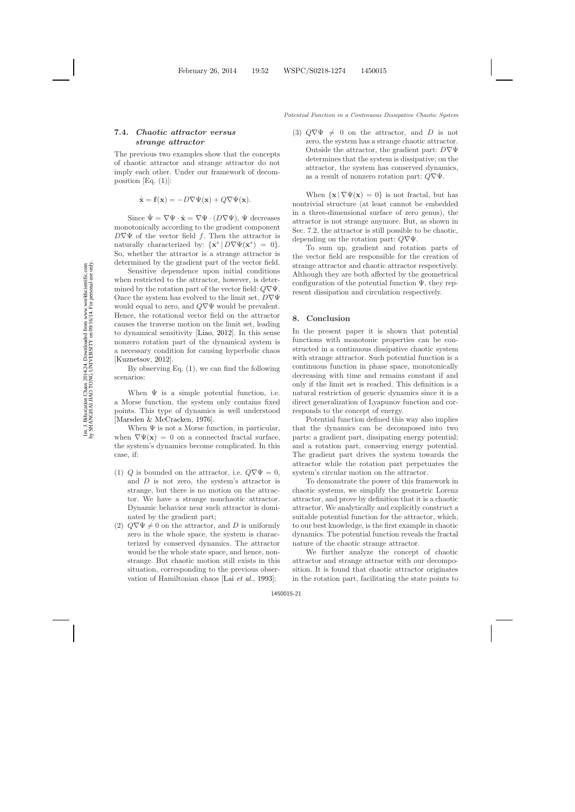### **7.4.** *Chaotic attractor versus strange attractor*

The previous two examples show that the concepts of chaotic attractor and strange attractor do not imply each other. Under our framework of decomposition [Eq.  $(1)$ ]:

$$
\dot{\mathbf{x}} = \mathbf{f}(\mathbf{x}) = -D\nabla\Psi(\mathbf{x}) + Q\nabla\Psi(\mathbf{x}).
$$

Since  $\Psi = \nabla \Psi \cdot \dot{\mathbf{x}} = \nabla \Psi \cdot (D \nabla \Psi)$ ,  $\Psi$  decreases monotonically according to the gradient component  $D\nabla\Psi$  of the vector field f. Then the attractor is naturally characterized by:  $\{x^* | D \nabla \Psi(x^*) = 0\}.$ So, whether the attractor is a strange attractor is determined by the gradient part of the vector field.

Sensitive dependence upon initial conditions when restricted to the attractor, however, is determined by the rotation part of the vector field:  $Q\nabla\Psi$ . Once the system has evolved to the limit set,  $D\nabla\Psi$ would equal to zero, and  $Q\nabla\Psi$  would be prevalent. Hence, the rotational vector field on the attractor causes the traverse motion on the limit set, leading to dynamical sensitivity [\[Liao](#page-21-30), [2012\]](#page-21-30). In this sense nonzero rotation part of the dynamical system is a necessary condition for causing hyperbolic chaos [\[Kuznetsov](#page-21-31), [2012](#page-21-31)].

By observing Eq. [\(1\)](#page-2-3), we can find the following scenarios:

When  $\Psi$  is a simple potential function, i.e. a Morse function, the system only contains fixed points. This type of dynamics is well understood [\[Marsden & McCracken](#page-21-32), [1976](#page-21-32)].

When  $\Psi$  is not a Morse function, in particular, when  $\nabla \Psi(\mathbf{x}) = 0$  on a connected fractal surface, the system's dynamics become complicated. In this case, if:

- (1) Q is bounded on the attractor, i.e.  $Q\nabla\Psi=0$ , and D is not zero, the system's attractor is strange, but there is no motion on the attractor. We have a strange nonchaotic attractor. Dynamic behavior near such attractor is dominated by the gradient part;
- (2)  $Q\nabla\Psi \neq 0$  on the attractor, and D is uniformly zero in the whole space, the system is characterized by conserved dynamics. The attractor would be the whole state space, and hence, nonstrange. But chaotic motion still exists in this situation, corresponding to the previous observation of Hamiltonian chaos [Lai *[et al.](#page-21-33)*, [1993](#page-21-33)];

(3)  $Q\nabla\Psi \neq 0$  on the attractor, and D is not zero, the system has a strange chaotic attractor. Outside the attractor, the gradient part:  $D\nabla\Psi$ determines that the system is dissipative; on the attractor, the system has conserved dynamics, as a result of nonzero rotation part:  $Q\nabla\Psi$ .

When  $\{x \mid \nabla \Psi(x) = 0\}$  is not fractal, but has nontrivial structure (at least cannot be embedded in a three-dimensional surface of zero genus), the attractor is not strange anymore. But, as shown in Sec. 7.2, the attractor is still possible to be chaotic, depending on the rotation part:  $Q\nabla\Psi$ .

To sum up, gradient and rotation parts of the vector field are responsible for the creation of strange attractor and chaotic attractor respectively. Although they are both affected by the geometrical configuration of the potential function  $\Psi$ , they represent dissipation and circulation respectively.

#### **8. Conclusion**

In the present paper it is shown that potential functions with monotonic properties can be constructed in a continuous dissipative chaotic system with strange attractor. Such potential function is a continuous function in phase space, monotonically decreasing with time and remains constant if and only if the limit set is reached. This definition is a natural restriction of generic dynamics since it is a direct generalization of Lyapunov function and corresponds to the concept of energy.

Potential function defined this way also implies that the dynamics can be decomposed into two parts: a gradient part, dissipating energy potential; and a rotation part, conserving energy potential. The gradient part drives the system towards the attractor while the rotation part perpetuates the system's circular motion on the attractor.

To demonstrate the power of this framework in chaotic systems, we simplify the geometric Lorenz attractor, and prove by definition that it is a chaotic attractor. We analytically and explicitly construct a suitable potential function for the attractor, which, to our best knowledge, is the first example in chaotic dynamics. The potential function reveals the fractal nature of the chaotic strange attractor.

We further analyze the concept of chaotic attractor and strange attractor with our decomposition. It is found that chaotic attractor originates in the rotation part, facilitating the state points to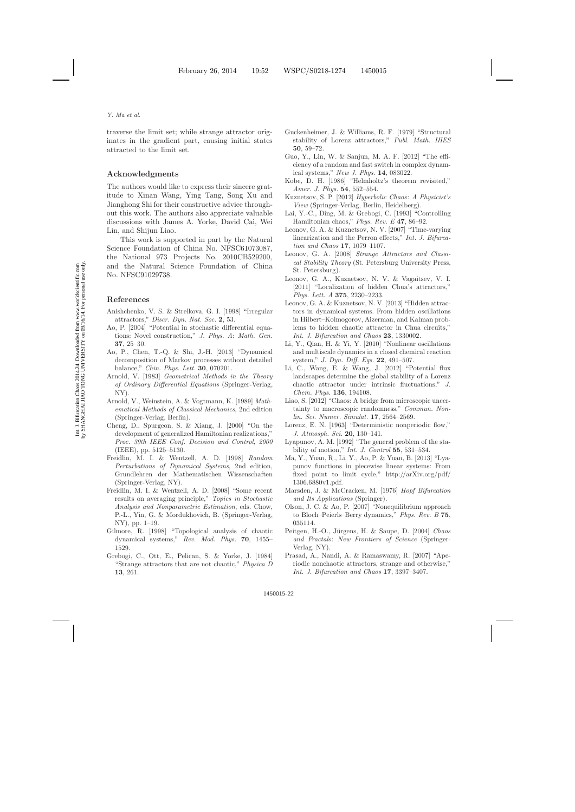traverse the limit set; while strange attractor originates in the gradient part, causing initial states attracted to the limit set.

### **Acknowledgments**

The authors would like to express their sincere gratitude to Xinan Wang, Ying Tang, Song Xu and Jianghong Shi for their constructive advice throughout this work. The authors also appreciate valuable discussions with James A. Yorke, David Cai, Wei Lin, and Shijun Liao.

This work is supported in part by the Natural Science Foundation of China No. NFSC61073087, the National 973 Projects No. 2010CB529200, and the Natural Science Foundation of China No. NFSC91029738.

### <span id="page-21-18"></span><span id="page-21-0"></span>**References**

- <span id="page-21-21"></span>Anishchenko, V. S. & Strelkova, G. I. [1998] "Irregular attractors," *Discr. Dyn. Nat. Soc.* **2**, 53.
- <span id="page-21-5"></span>Ao, P. [2004] "Potential in stochastic differential equations: Novel construction," *J. Phys. A*: *Math. Gen.* **37**, 25–30.
- <span id="page-21-9"></span>Ao, P., Chen, T.-Q. & Shi, J.-H. [2013] "Dynamical decomposition of Markov processes without detailed balance," *Chin. Phys. Lett.* **30**, 070201.
- <span id="page-21-22"></span>Arnold, V. [1983] *Geometrical Methods in the Theory of Ordinary Differential Equations* (Springer-Verlag, NY).
- <span id="page-21-12"></span>Arnold, V., Weinstein, A. & Vogtmann, K. [1989] *Mathematical Methods of Classical Mechanics*, 2nd edition (Springer-Verlag, Berlin).
- <span id="page-21-10"></span>Cheng, D., Spurgeon, S. & Xiang, J. [2000] "On the development of generalized Hamiltonian realizations," *Proc. 39th IEEE Conf. Decision and Control*, *2000* (IEEE), pp. 5125–5130.
- <span id="page-21-25"></span>Freidlin, M. I. & Wentzell, A. D. [1998] *Random Perturbations of Dynamical Systems*, 2nd edition, Grundlehren der Mathematischen Wissenschaften (Springer-Verlag, NY).
- <span id="page-21-24"></span>Freidlin, M. I. & Wentzell, A. D. [2008] "Some recent results on averaging principle," *Topics in Stochastic Analysis and Nonparametric Estimation*, eds. Chow, P.-L., Yin, G. & Mordukhovich, B. (Springer-Verlag, NY), pp. 1–19.
- <span id="page-21-27"></span>Gilmore, R. [1998] "Topological analysis of chaotic dynamical systems," *Rev. Mod. Phys.* **70**, 1455– 1529.
- <span id="page-21-28"></span>Grebogi, C., Ott, E., Pelican, S. & Yorke, J. [1984] "Strange attractors that are not chaotic," *Physica D* **13**, 261.
- <span id="page-21-15"></span>Guckenheimer, J. & Williams, R. F. [1979] "Structural stability of Lorenz attractors," *Publ. Math. IHES* **50**, 59–72.
- <span id="page-21-23"></span>Guo, Y., Lin, W. & Sanjun, M. A. F. [2012] "The efficiency of a random and fast switch in complex dynamical systems," *New J. Phys.* **14**, 083022.
- <span id="page-21-8"></span>Kobe, D. H. [1986] "Helmholtz's theorem revisited," *Amer. J. Phys.* **54**, 552–554.
- <span id="page-21-31"></span><span id="page-21-16"></span>Kuznetsov, S. P. [2012] *Hyperbolic Chaos*: *A Physicist's View* (Springer-Verlag, Berlin, Heidelberg).
- <span id="page-21-33"></span>Lai, Y.-C., Ding, M. & Grebogi, C. [1993] "Controlling Hamiltonian chaos," *Phys. Rev. E* **47**, 86–92.
- <span id="page-21-19"></span>Leonov, G. A. & Kuznetsov, N. V. [2007] "Time-varying linearization and the Perron effects," *Int. J. Bifurcation and Chaos* **17**, 1079–1107.
- <span id="page-21-26"></span><span id="page-21-20"></span>Leonov, G. A. [2008] *Strange Attractors and Classical Stability Theory* (St. Petersburg University Press, St. Petersburg).
- <span id="page-21-7"></span>Leonov, G. A., Kuznetsov, N. V. & Vagaitsev, V. I. [2011] "Localization of hidden Chua's attractors," *Phys. Lett. A* **375**, 2230–2233.
- <span id="page-21-6"></span>Leonov, G. A. & Kuznetsov, N. V. [2013] "Hidden attractors in dynamical systems. From hidden oscillations in Hilbert–Kolmogorov, Aizerman, and Kalman problems to hidden chaotic attractor in Chua circuits," *Int. J. Bifurcation and Chaos* **23**, 1330002.
- <span id="page-21-2"></span>Li, Y., Qian, H. & Yi, Y. [2010] "Nonlinear oscillations and multiscale dynamics in a closed chemical reaction system," *J. Dyn. Diff. Eqs.* **22**, 491–507.
- <span id="page-21-14"></span>Li, C., Wang, E. & Wang, J. [2012] "Potential flux landscapes determine the global stability of a Lorenz chaotic attractor under intrinsic fluctuations," *J. Chem. Phys.* **136**, 194108.
- <span id="page-21-30"></span>Liao, S. [2012] "Chaos: A bridge from microscopic uncertainty to macroscopic randomness," *Commun. Nonlin. Sci. Numer. Simulat.* **17**, 2564–2569.
- <span id="page-21-13"></span><span id="page-21-4"></span>Lorenz, E. N. [1963] "Deterministic nonperiodic flow," *J. Atmosph. Sci.* **20**, 130–141.
- <span id="page-21-1"></span>Lyapunov, A. M. [1992] "The general problem of the stability of motion," *Int. J. Control* **55**, 531–534.
- <span id="page-21-3"></span>Ma, Y., Yuan, R., Li, Y., Ao, P. & Yuan, B. [2013] "Lyapunov functions in piecewise linear systems: From fixed point to limit cycle," http://arXiv.org/pdf/ 1306.6880v1.pdf.
- <span id="page-21-32"></span>Marsden, J. & McCracken, M. [1976] *Hopf Bifurcation and Its Applications* (Springer).
- <span id="page-21-11"></span>Olson, J. C. & Ao, P. [2007] "Nonequilibrium approach to Bloch–Peierls–Berry dynamics," *Phys. Rev. B* **75**, 035114.
- <span id="page-21-17"></span>Peitgen, H.-O., J¨urgens, H. & Saupe, D. [2004] *Chaos and Fractals*: *New Frontiers of Science* (Springer-Verlag, NY).
- <span id="page-21-29"></span>Prasad, A., Nandi, A. & Ramaswamy, R. [2007] "Aperiodic nonchaotic attractors, strange and otherwise," *Int. J. Bifurcation and Chaos* **17**, 3397–3407.